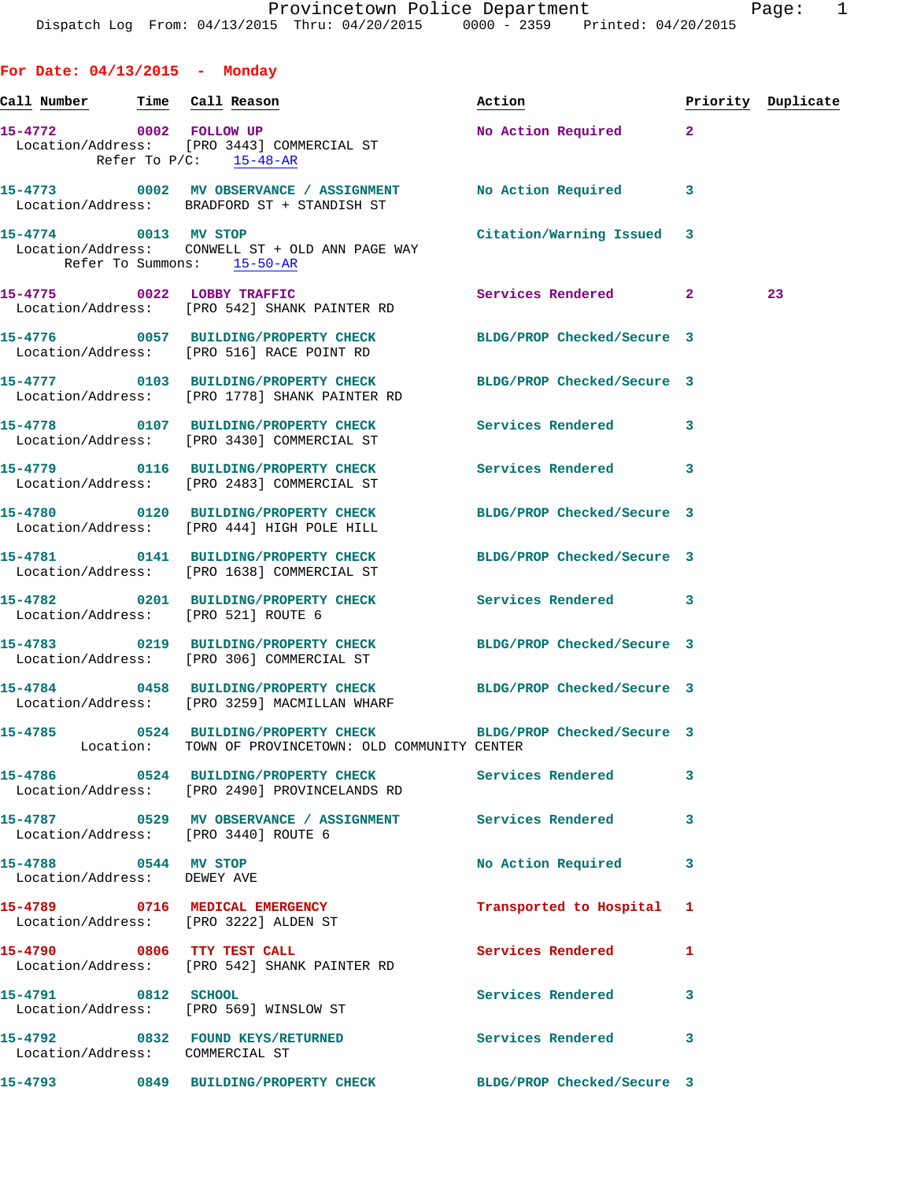|  |  | For Date: $04/13/2015$ |  | Monday |
|--|--|------------------------|--|--------|
|--|--|------------------------|--|--------|

| Call Number                                         | Time Call Reason                                                                                                        | Action                     |              | Priority Duplicate |
|-----------------------------------------------------|-------------------------------------------------------------------------------------------------------------------------|----------------------------|--------------|--------------------|
|                                                     | 15-4772 0002 FOLLOW UP<br>Location/Address: [PRO 3443] COMMERCIAL ST<br>Refer To $P/C$ : 15-48-AR                       | No Action Required         | $\mathbf{2}$ |                    |
|                                                     | 15-4773 0002 MV OBSERVANCE / ASSIGNMENT No Action Required<br>Location/Address: BRADFORD ST + STANDISH ST               |                            | 3            |                    |
| 15-4774 0013 MV STOP                                | Location/Address: CONWELL ST + OLD ANN PAGE WAY<br>Refer To Summons: 15-50-AR                                           | Citation/Warning Issued    | 3            |                    |
| 15-4775 0022 LOBBY TRAFFIC                          | Location/Address: [PRO 542] SHANK PAINTER RD                                                                            | Services Rendered          | $\mathbf{2}$ | 23                 |
|                                                     | 15-4776 0057 BUILDING/PROPERTY CHECK<br>Location/Address: [PRO 516] RACE POINT RD                                       | BLDG/PROP Checked/Secure 3 |              |                    |
|                                                     | 15-4777 0103 BUILDING/PROPERTY CHECK<br>Location/Address: [PRO 1778] SHANK PAINTER RD                                   | BLDG/PROP Checked/Secure 3 |              |                    |
|                                                     | 15-4778 0107 BUILDING/PROPERTY CHECK<br>Location/Address: [PRO 3430] COMMERCIAL ST                                      | Services Rendered          | 3            |                    |
|                                                     | 15-4779 0116 BUILDING/PROPERTY CHECK<br>Location/Address: [PRO 2483] COMMERCIAL ST                                      | <b>Services Rendered</b>   | 3            |                    |
|                                                     | 15-4780 0120 BUILDING/PROPERTY CHECK<br>Location/Address: [PRO 444] HIGH POLE HILL                                      | BLDG/PROP Checked/Secure 3 |              |                    |
|                                                     | 15-4781 0141 BUILDING/PROPERTY CHECK<br>Location/Address: [PRO 1638] COMMERCIAL ST                                      | BLDG/PROP Checked/Secure 3 |              |                    |
|                                                     | 15-4782 0201 BUILDING/PROPERTY CHECK<br>Location/Address: [PRO 521] ROUTE 6                                             | <b>Services Rendered</b>   | 3            |                    |
|                                                     | 15-4783 0219 BUILDING/PROPERTY CHECK BLDG/PROP Checked/Secure 3<br>Location/Address: [PRO 306] COMMERCIAL ST            |                            |              |                    |
|                                                     | 15-4784 0458 BUILDING/PROPERTY CHECK BLDG/PROP Checked/Secure 3<br>Location/Address: [PRO 3259] MACMILLAN WHARF         |                            |              |                    |
|                                                     | 15-4785 0524 BUILDING/PROPERTY CHECK BLDG/PROP Checked/Secure 3<br>Location: TOWN OF PROVINCETOWN: OLD COMMUNITY CENTER |                            |              |                    |
|                                                     | 15-4786 0524 BUILDING/PROPERTY CHECK<br>Location/Address: [PRO 2490] PROVINCELANDS RD                                   | Services Rendered          | 3            |                    |
|                                                     | 15-4787 		 0529 MV OBSERVANCE / ASSIGNMENT Services Rendered<br>Location/Address: [PRO 3440] ROUTE 6                    |                            | 3            |                    |
| 15-4788 0544 MV STOP<br>Location/Address: DEWEY AVE |                                                                                                                         | No Action Required         | 3            |                    |
|                                                     | 15-4789 0716 MEDICAL EMERGENCY<br>Location/Address: [PRO 3222] ALDEN ST                                                 | Transported to Hospital    | 1            |                    |
| 15-4790 0806 TTY TEST CALL                          | Location/Address: [PRO 542] SHANK PAINTER RD                                                                            | <b>Services Rendered</b>   | 1            |                    |
| 15-4791 0812 SCHOOL                                 | Location/Address: [PRO 569] WINSLOW ST                                                                                  | Services Rendered          | 3            |                    |
| Location/Address: COMMERCIAL ST                     | 15-4792 0832 FOUND KEYS/RETURNED                                                                                        | Services Rendered          | 3            |                    |
| 15-4793                                             | 0849 BUILDING/PROPERTY CHECK BLDG/PROP Checked/Secure 3                                                                 |                            |              |                    |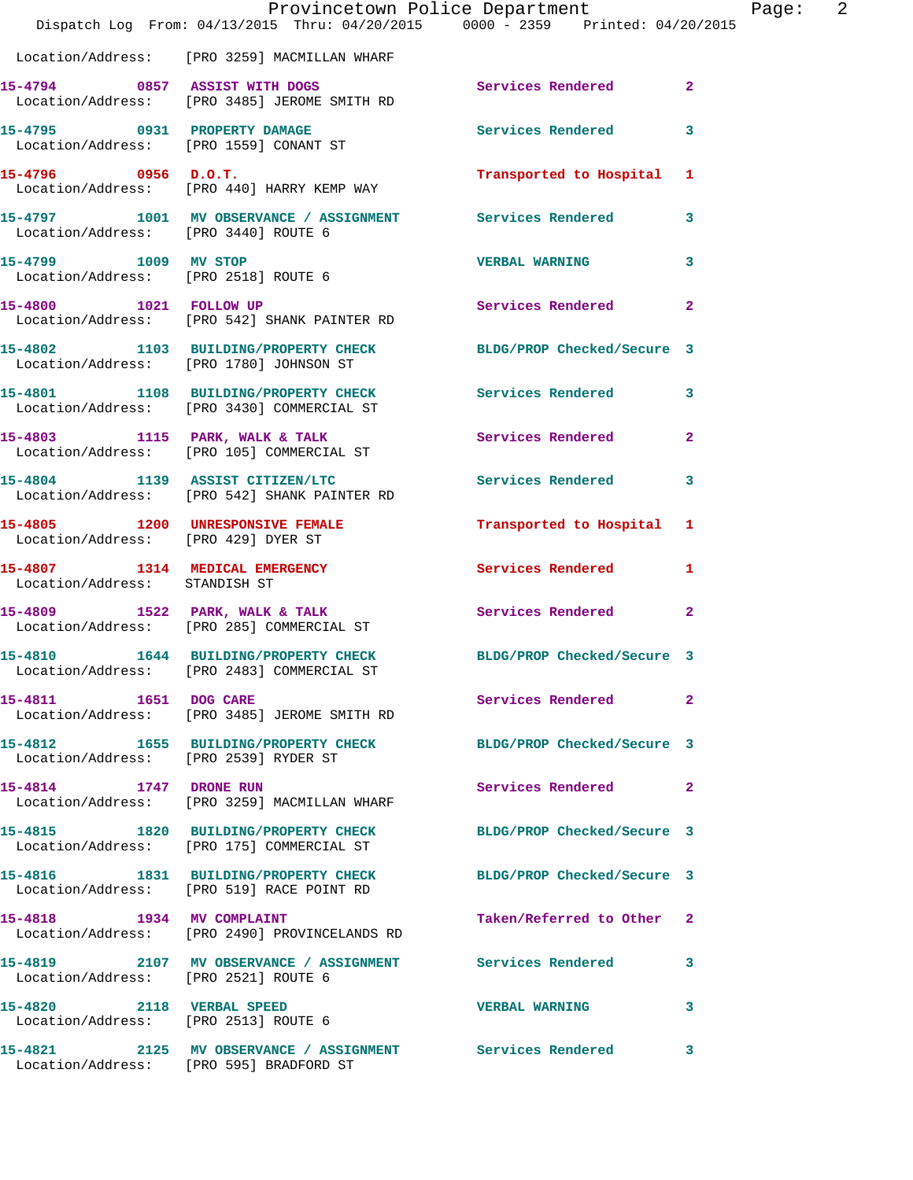|                                                                   | Provincetown Police Department<br>Dispatch Log From: 04/13/2015 Thru: 04/20/2015 0000 - 2359 Printed: 04/20/2015 |                           |                         |
|-------------------------------------------------------------------|------------------------------------------------------------------------------------------------------------------|---------------------------|-------------------------|
|                                                                   | Location/Address: [PRO 3259] MACMILLAN WHARF                                                                     |                           |                         |
|                                                                   | 15-4794 0857 ASSIST WITH DOGS<br>Location/Address: [PRO 3485] JEROME SMITH RD                                    | Services Rendered         | $\mathbf{2}$            |
| 15-4795 0931 PROPERTY DAMAGE                                      | Location/Address: [PRO 1559] CONANT ST                                                                           | <b>Services Rendered</b>  | 3                       |
| $15-4796$ 0956 D.O.T.                                             | Location/Address: [PRO 440] HARRY KEMP WAY                                                                       | Transported to Hospital 1 |                         |
| Location/Address: [PRO 3440] ROUTE 6                              | 15-4797 1001 MV OBSERVANCE / ASSIGNMENT Services Rendered                                                        |                           | $\overline{\mathbf{3}}$ |
| 15-4799 1009 MV STOP                                              | Location/Address: [PRO 2518] ROUTE 6                                                                             | <b>VERBAL WARNING</b>     | 3                       |
|                                                                   | 15-4800 1021 FOLLOW UP<br>Location/Address: [PRO 542] SHANK PAINTER RD                                           | <b>Services Rendered</b>  | $\mathbf{2}$            |
| Location/Address: [PRO 1780] JOHNSON ST                           | 15-4802 1103 BUILDING/PROPERTY CHECK BLDG/PROP Checked/Secure 3                                                  |                           |                         |
|                                                                   | 15-4801 1108 BUILDING/PROPERTY CHECK<br>Location/Address: [PRO 3430] COMMERCIAL ST                               | Services Rendered         | 3                       |
|                                                                   | 15-4803 1115 PARK, WALK & TALK<br>Location/Address: [PRO 105] COMMERCIAL ST                                      | Services Rendered         | $\overline{2}$          |
|                                                                   | 15-4804 1139 ASSIST CITIZEN/LTC<br>Location/Address: [PRO 542] SHANK PAINTER RD                                  | Services Rendered         | 3                       |
| Location/Address: [PRO 429] DYER ST                               | 15-4805 1200 UNRESPONSIVE FEMALE                                                                                 | Transported to Hospital 1 |                         |
| Location/Address: STANDISH ST                                     | 15-4807 1314 MEDICAL EMERGENCY                                                                                   | Services Rendered         | 1                       |
|                                                                   | 15-4809 1522 PARK, WALK & TALK<br>Location/Address: [PRO 285] COMMERCIAL ST                                      | Services Rendered         | $\mathbf{2}$            |
|                                                                   | 15-4810 1644 BUILDING/PROPERTY CHECK BLDG/PROP Checked/Secure 3<br>Location/Address: [PRO 2483] COMMERCIAL ST    |                           |                         |
| 15-4811 1651 DOG CARE                                             | Location/Address: [PRO 3485] JEROME SMITH RD                                                                     | Services Rendered         | $\mathbf{2}$            |
| Location/Address: [PRO 2539] RYDER ST                             | 15-4812 1655 BUILDING/PROPERTY CHECK BLDG/PROP Checked/Secure 3                                                  |                           |                         |
| 15-4814 1747 DRONE RUN                                            | Location/Address: [PRO 3259] MACMILLAN WHARF                                                                     | Services Rendered 2       |                         |
|                                                                   | 15-4815 1820 BUILDING/PROPERTY CHECK BLDG/PROP Checked/Secure 3<br>Location/Address: [PRO 175] COMMERCIAL ST     |                           |                         |
|                                                                   | 15-4816 1831 BUILDING/PROPERTY CHECK BLDG/PROP Checked/Secure 3<br>Location/Address: [PRO 519] RACE POINT RD     |                           |                         |
|                                                                   | 15-4818 1934 MV COMPLAINT<br>Location/Address: [PRO 2490] PROVINCELANDS RD                                       | Taken/Referred to Other 2 |                         |
| Location/Address: [PRO 2521] ROUTE 6                              | 15-4819 2107 MV OBSERVANCE / ASSIGNMENT Services Rendered                                                        |                           | 3                       |
| 15-4820 2118 VERBAL SPEED<br>Location/Address: [PRO 2513] ROUTE 6 |                                                                                                                  | <b>VERBAL WARNING</b>     | 3                       |
| Location/Address: [PRO 595] BRADFORD ST                           | 15-4821 2125 MV OBSERVANCE / ASSIGNMENT Services Rendered                                                        |                           | 3                       |

Page: 2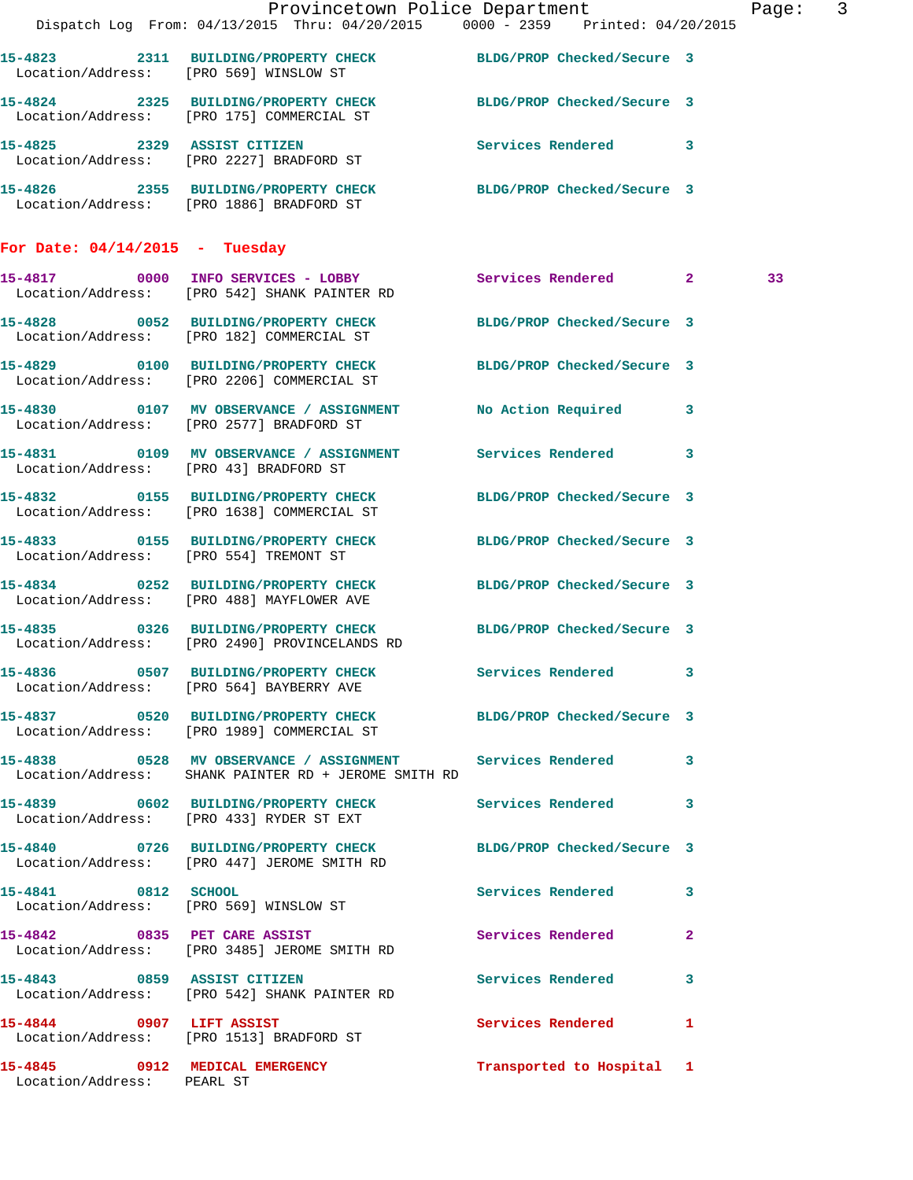|                                  |                                                                                                                     | Provincetown Police Department |   | Page: 3 |  |
|----------------------------------|---------------------------------------------------------------------------------------------------------------------|--------------------------------|---|---------|--|
|                                  | Dispatch Log From: 04/13/2015 Thru: 04/20/2015 0000 - 2359 Printed: 04/20/2015                                      |                                |   |         |  |
|                                  | 15-4823 2311 BUILDING/PROPERTY CHECK BLDG/PROP Checked/Secure 3<br>Location/Address: [PRO 569] WINSLOW ST           |                                |   |         |  |
|                                  | 15-4824 2325 BUILDING/PROPERTY CHECK BLDG/PROP Checked/Secure 3<br>Location/Address: [PRO 175] COMMERCIAL ST        |                                |   |         |  |
|                                  | 15-4825 2329 ASSIST CITIZEN<br>Location/Address: [PRO 2227] BRADFORD ST                                             | Services Rendered 3            |   |         |  |
|                                  | 15-4826 2355 BUILDING/PROPERTY CHECK BLDG/PROP Checked/Secure 3<br>Location/Address: [PRO 1886] BRADFORD ST         |                                |   |         |  |
| For Date: $04/14/2015$ - Tuesday |                                                                                                                     |                                |   |         |  |
|                                  | 15-4817 0000 INFO SERVICES - LOBBY<br>Location/Address: [PRO 542] SHANK PAINTER RD                                  | Services Rendered 2            |   | 33      |  |
|                                  | 15-4828 0052 BUILDING/PROPERTY CHECK<br>Location/Address: [PRO 182] COMMERCIAL ST                                   | BLDG/PROP Checked/Secure 3     |   |         |  |
|                                  | 15-4829 0100 BUILDING/PROPERTY CHECK<br>Location/Address: [PRO 2206] COMMERCIAL ST                                  | BLDG/PROP Checked/Secure 3     |   |         |  |
|                                  | 15-4830 0107 MV OBSERVANCE / ASSIGNMENT<br>Location/Address: [PRO 2577] BRADFORD ST                                 | No Action Required 3           |   |         |  |
|                                  | 15-4831 0109 MV OBSERVANCE / ASSIGNMENT Services Rendered 3<br>Location/Address: [PRO 43] BRADFORD ST               |                                |   |         |  |
|                                  | 15-4832 0155 BUILDING/PROPERTY CHECK BLDG/PROP Checked/Secure 3<br>Location/Address: [PRO 1638] COMMERCIAL ST       |                                |   |         |  |
|                                  | 15-4833 0155 BUILDING/PROPERTY CHECK<br>Location/Address: [PRO 554] TREMONT ST                                      | BLDG/PROP Checked/Secure 3     |   |         |  |
|                                  | 15-4834 0252 BUILDING/PROPERTY CHECK BLDG/PROP Checked/Secure 3<br>Location/Address: [PRO 488] MAYFLOWER AVE        |                                |   |         |  |
|                                  | 15-4835 0326 BUILDING/PROPERTY CHECK<br>Location/Address: [PRO 2490] PROVINCELANDS RD                               | BLDG/PROP Checked/Secure 3     |   |         |  |
|                                  | 15-4836 0507 BUILDING/PROPERTY CHECK<br>Location/Address: [PRO 564] BAYBERRY AVE                                    | Services Rendered 3            |   |         |  |
|                                  | 15-4837 0520 BUILDING/PROPERTY CHECK BLDG/PROP Checked/Secure 3<br>Location/Address: [PRO 1989] COMMERCIAL ST       |                                |   |         |  |
|                                  | 15-4838 0528 MV OBSERVANCE / ASSIGNMENT Services Rendered 3<br>Location/Address: SHANK PAINTER RD + JEROME SMITH RD |                                |   |         |  |
|                                  | 15-4839 0602 BUILDING/PROPERTY CHECK Services Rendered<br>Location/Address: [PRO 433] RYDER ST EXT                  |                                | 3 |         |  |
|                                  | 15-4840 0726 BUILDING/PROPERTY CHECK BLDG/PROP Checked/Secure 3<br>Location/Address: [PRO 447] JEROME SMITH RD      |                                |   |         |  |
| 15-4841 0812 SCHOOL              | Location/Address: [PRO 569] WINSLOW ST                                                                              | Services Rendered 3            |   |         |  |
|                                  | 15-4842 0835 PET CARE ASSIST<br>Location/Address: [PRO 3485] JEROME SMITH RD                                        | Services Rendered 2            |   |         |  |
|                                  | 15-4843 0859 ASSIST CITIZEN<br>Location/Address: [PRO 542] SHANK PAINTER RD                                         | Services Rendered 3            |   |         |  |
|                                  | 15-4844 0907 LIFT ASSIST<br>Location/Address: [PRO 1513] BRADFORD ST                                                | Services Rendered 1            |   |         |  |
| Location/Address: PEARL ST       | 15-4845 0912 MEDICAL EMERGENCY                                                                                      | Transported to Hospital 1      |   |         |  |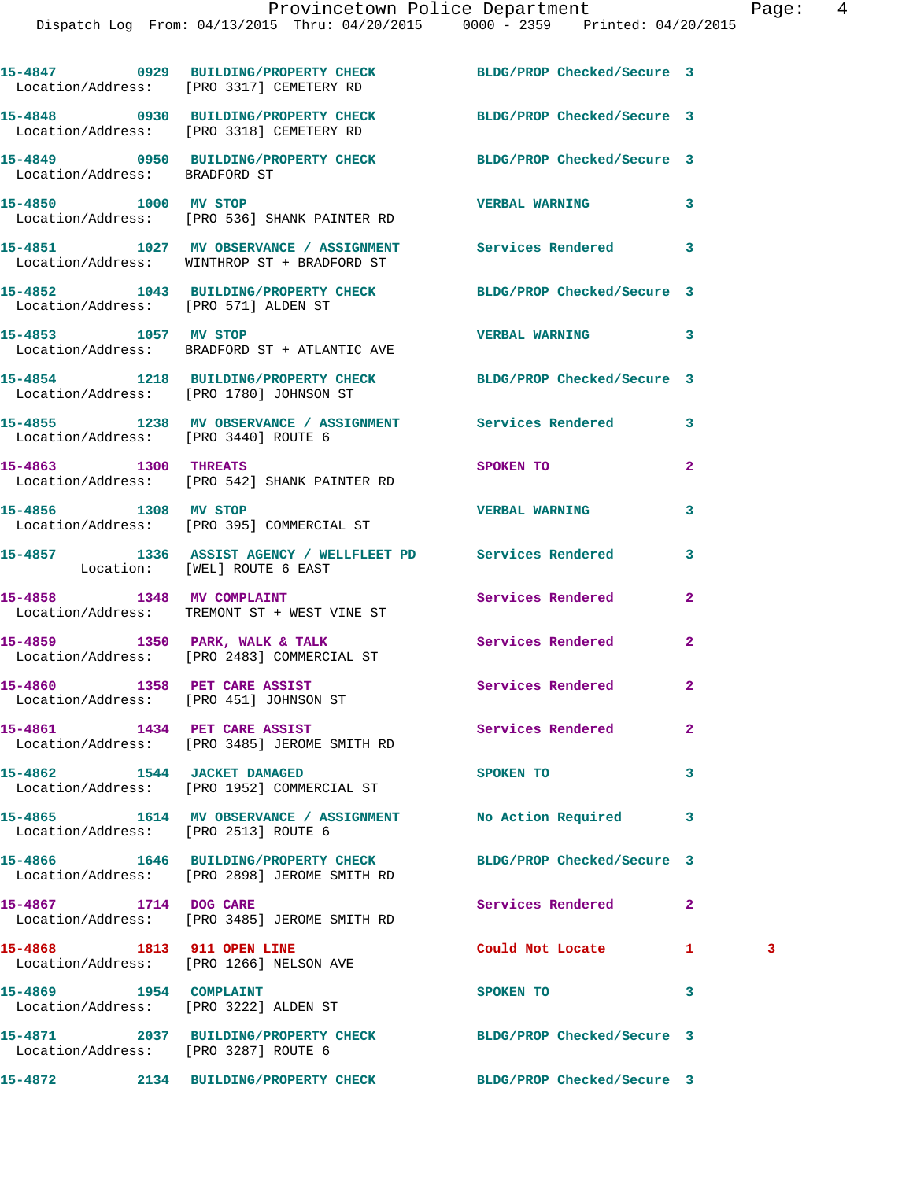|                                                                        | 15-4847 0929 BUILDING/PROPERTY CHECK BLDG/PROP Checked/Secure 3<br>Location/Address: [PRO 3317] CEMETERY RD     |                       |              |   |
|------------------------------------------------------------------------|-----------------------------------------------------------------------------------------------------------------|-----------------------|--------------|---|
|                                                                        | 15-4848 0930 BUILDING/PROPERTY CHECK BLDG/PROP Checked/Secure 3<br>Location/Address: [PRO 3318] CEMETERY RD     |                       |              |   |
| Location/Address: BRADFORD ST                                          | 15-4849 0950 BUILDING/PROPERTY CHECK BLDG/PROP Checked/Secure 3                                                 |                       |              |   |
| 15-4850 1000 MV STOP                                                   | Location/Address: [PRO 536] SHANK PAINTER RD                                                                    | <b>VERBAL WARNING</b> | 3            |   |
|                                                                        | 15-4851 1027 MV OBSERVANCE / ASSIGNMENT Services Rendered<br>Location/Address: WINTHROP ST + BRADFORD ST        |                       | 3            |   |
| Location/Address: [PRO 571] ALDEN ST                                   | 15-4852 1043 BUILDING/PROPERTY CHECK BLDG/PROP Checked/Secure 3                                                 |                       |              |   |
| 15-4853 1057 MV STOP                                                   | Location/Address: BRADFORD ST + ATLANTIC AVE                                                                    | <b>VERBAL WARNING</b> | 3            |   |
|                                                                        | 15-4854 1218 BUILDING/PROPERTY CHECK BLDG/PROP Checked/Secure 3<br>Location/Address: [PRO 1780] JOHNSON ST      |                       |              |   |
| Location/Address: [PRO 3440] ROUTE 6                                   | 15-4855 1238 MV OBSERVANCE / ASSIGNMENT Services Rendered                                                       |                       | 3            |   |
|                                                                        | 15-4863 1300 THREATS<br>Location/Address: [PRO 542] SHANK PAINTER RD                                            | SPOKEN TO             | $\mathbf{2}$ |   |
| 15-4856 1308 MV STOP                                                   | Location/Address: [PRO 395] COMMERCIAL ST                                                                       | <b>VERBAL WARNING</b> | 3            |   |
|                                                                        | 15-4857 1336 ASSIST AGENCY / WELLFLEET PD Services Rendered<br>Location: [WEL] ROUTE 6 EAST                     |                       | 3            |   |
| 15-4858 1348 MV COMPLAINT                                              | Location/Address: TREMONT ST + WEST VINE ST                                                                     | Services Rendered     | $\mathbf{2}$ |   |
|                                                                        | 15-4859 1350 PARK, WALK & TALK<br>Location/Address: [PRO 2483] COMMERCIAL ST                                    | Services Rendered     | $\mathbf{2}$ |   |
| 15-4860 1358 PET CARE ASSIST<br>Location/Address: [PRO 451] JOHNSON ST |                                                                                                                 | Services Rendered     | $\mathbf{2}$ |   |
|                                                                        | 15-4861 1434 PET CARE ASSIST<br>Location/Address: [PRO 3485] JEROME SMITH RD                                    | Services Rendered     | 2            |   |
| 15-4862 1544 JACKET DAMAGED                                            | Location/Address: [PRO 1952] COMMERCIAL ST                                                                      | SPOKEN TO             | 3            |   |
| Location/Address: [PRO 2513] ROUTE 6                                   | 15-4865 1614 MV OBSERVANCE / ASSIGNMENT No Action Required                                                      |                       | 3            |   |
|                                                                        | 15-4866 1646 BUILDING/PROPERTY CHECK BLDG/PROP Checked/Secure 3<br>Location/Address: [PRO 2898] JEROME SMITH RD |                       |              |   |
| 15-4867 1714 DOG CARE                                                  | Location/Address: [PRO 3485] JEROME SMITH RD                                                                    | Services Rendered     | $\mathbf{2}$ |   |
| 15-4868 1813 911 OPEN LINE                                             | Location/Address: [PRO 1266] NELSON AVE                                                                         | Could Not Locate      | 1.           | 3 |
| 15-4869 1954 COMPLAINT                                                 | Location/Address: [PRO 3222] ALDEN ST                                                                           | SPOKEN TO             | 3            |   |
| Location/Address: [PRO 3287] ROUTE 6                                   | 15-4871 2037 BUILDING/PROPERTY CHECK BLDG/PROP Checked/Secure 3                                                 |                       |              |   |
|                                                                        | 15-4872 2134 BUILDING/PROPERTY CHECK BLDG/PROP Checked/Secure 3                                                 |                       |              |   |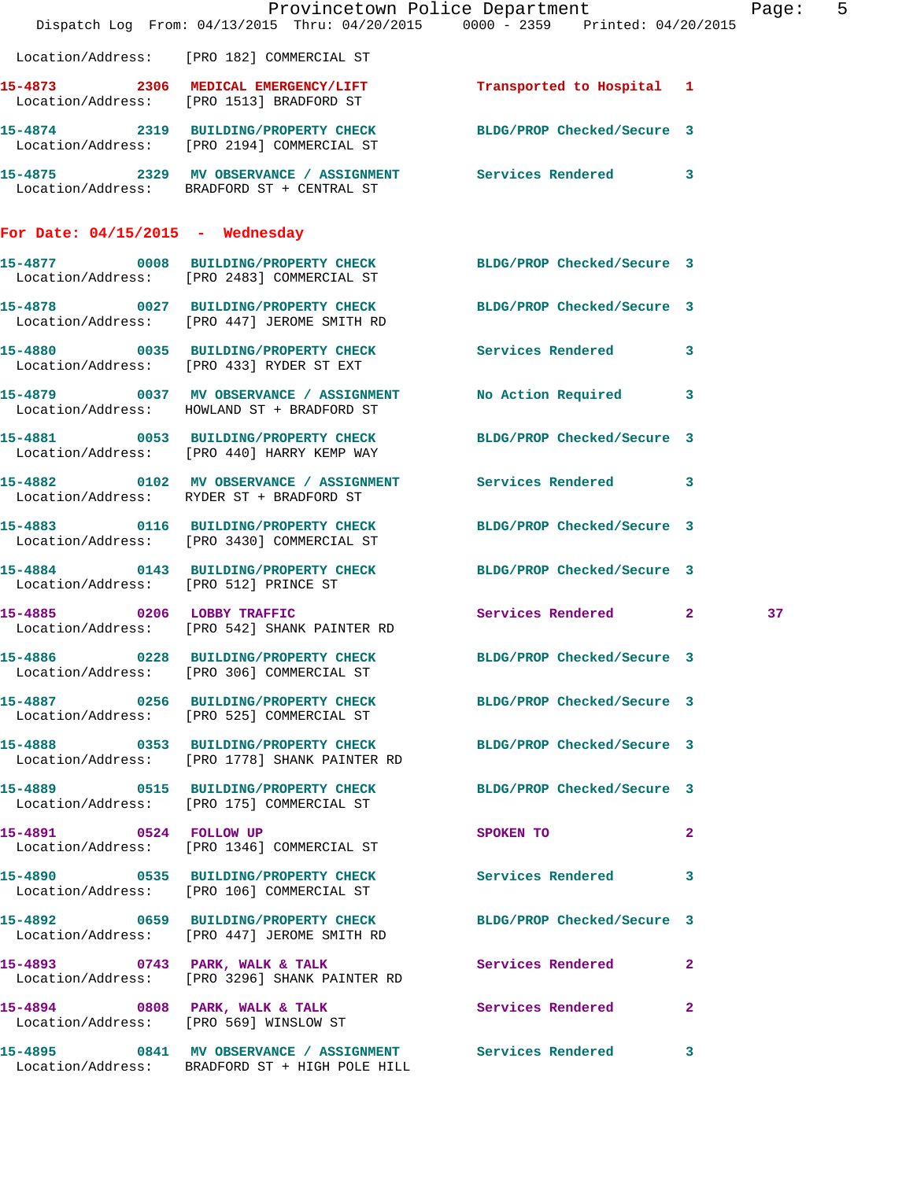|                                       |                                                                                                                  | Provincetown Police Department<br>Dispatch Log From: 04/13/2015 Thru: 04/20/2015 0000 - 2359 Printed: 04/20/2015 | Page: 5 |
|---------------------------------------|------------------------------------------------------------------------------------------------------------------|------------------------------------------------------------------------------------------------------------------|---------|
|                                       |                                                                                                                  |                                                                                                                  |         |
|                                       | Location/Address: [PRO 182] COMMERCIAL ST                                                                        |                                                                                                                  |         |
|                                       | 15-4873 2306 MEDICAL EMERGENCY/LIFT 7 Transported to Hospital 1<br>Location/Address: [PRO 1513] BRADFORD ST      |                                                                                                                  |         |
|                                       | 15-4874 2319 BUILDING/PROPERTY CHECK<br>Location/Address: [PRO 2194] COMMERCIAL ST                               | BLDG/PROP Checked/Secure 3                                                                                       |         |
|                                       | 15-4875 2329 MV OBSERVANCE / ASSIGNMENT Services Rendered 3<br>Location/Address: BRADFORD ST + CENTRAL ST        |                                                                                                                  |         |
| For Date: $04/15/2015$ - Wednesday    |                                                                                                                  |                                                                                                                  |         |
|                                       | 15-4877 0008 BUILDING/PROPERTY CHECK BLDG/PROP Checked/Secure 3<br>Location/Address: [PRO 2483] COMMERCIAL ST    |                                                                                                                  |         |
|                                       | 15-4878 0027 BUILDING/PROPERTY CHECK BLDG/PROP Checked/Secure 3<br>Location/Address: [PRO 447] JEROME SMITH RD   |                                                                                                                  |         |
|                                       | 15-4880 0035 BUILDING/PROPERTY CHECK Services Rendered 3<br>Location/Address: [PRO 433] RYDER ST EXT             |                                                                                                                  |         |
|                                       | 15-4879 0037 MV OBSERVANCE / ASSIGNMENT<br>Location/Address: HOWLAND ST + BRADFORD ST                            | No Action Required 3                                                                                             |         |
|                                       | 15-4881 0053 BUILDING/PROPERTY CHECK<br>Location/Address: [PRO 440] HARRY KEMP WAY                               | BLDG/PROP Checked/Secure 3                                                                                       |         |
|                                       | 15-4882 0102 MV OBSERVANCE / ASSIGNMENT Services Rendered 3<br>Location/Address: RYDER ST + BRADFORD ST          |                                                                                                                  |         |
|                                       | 15-4883 0116 BUILDING/PROPERTY CHECK<br>Location/Address: [PRO 3430] COMMERCIAL ST                               | BLDG/PROP Checked/Secure 3                                                                                       |         |
| Location/Address: [PRO 512] PRINCE ST | 15-4884 0143 BUILDING/PROPERTY CHECK BLDG/PROP Checked/Secure 3                                                  |                                                                                                                  |         |
| 15-4885 0206 LOBBY TRAFFIC            | Location/Address: [PRO 542] SHANK PAINTER RD                                                                     | Services Rendered 2                                                                                              | 37      |
|                                       | 15-4886 0228 BUILDING/PROPERTY CHECK BLDG/PROP Checked/Secure 3<br>Location/Address: [PRO 306] COMMERCIAL ST     |                                                                                                                  |         |
|                                       | 15-4887 0256 BUILDING/PROPERTY CHECK BLDG/PROP Checked/Secure 3<br>Location/Address: [PRO 525] COMMERCIAL ST     |                                                                                                                  |         |
|                                       | 15-4888 0353 BUILDING/PROPERTY CHECK BLDG/PROP Checked/Secure 3<br>Location/Address: [PRO 1778] SHANK PAINTER RD |                                                                                                                  |         |
|                                       | 15-4889 0515 BUILDING/PROPERTY CHECK BLDG/PROP Checked/Secure 3<br>Location/Address: [PRO 175] COMMERCIAL ST     |                                                                                                                  |         |
|                                       | 15-4891 0524 FOLLOW UP<br>Location/Address: [PRO 1346] COMMERCIAL ST                                             | SPOKEN TO<br>$\mathbf{2}$                                                                                        |         |
|                                       | 15-4890 0535 BUILDING/PROPERTY CHECK Services Rendered 3<br>Location/Address: [PRO 106] COMMERCIAL ST            |                                                                                                                  |         |
|                                       | 15-4892 0659 BUILDING/PROPERTY CHECK BLDG/PROP Checked/Secure 3<br>Location/Address: [PRO 447] JEROME SMITH RD   |                                                                                                                  |         |
|                                       | 15-4893 0743 PARK, WALK & TALK<br>Location/Address: [PRO 3296] SHANK PAINTER RD                                  | <b>Services Rendered</b><br>$\mathbf{2}$                                                                         |         |
|                                       | 15-4894 0808 PARK, WALK & TALK<br>Location/Address: [PRO 569] WINSLOW ST                                         | Services Rendered 2                                                                                              |         |
|                                       | 15-4895 0841 MV OBSERVANCE / ASSIGNMENT Services Rendered 3<br>Location/Address: BRADFORD ST + HIGH POLE HILL    |                                                                                                                  |         |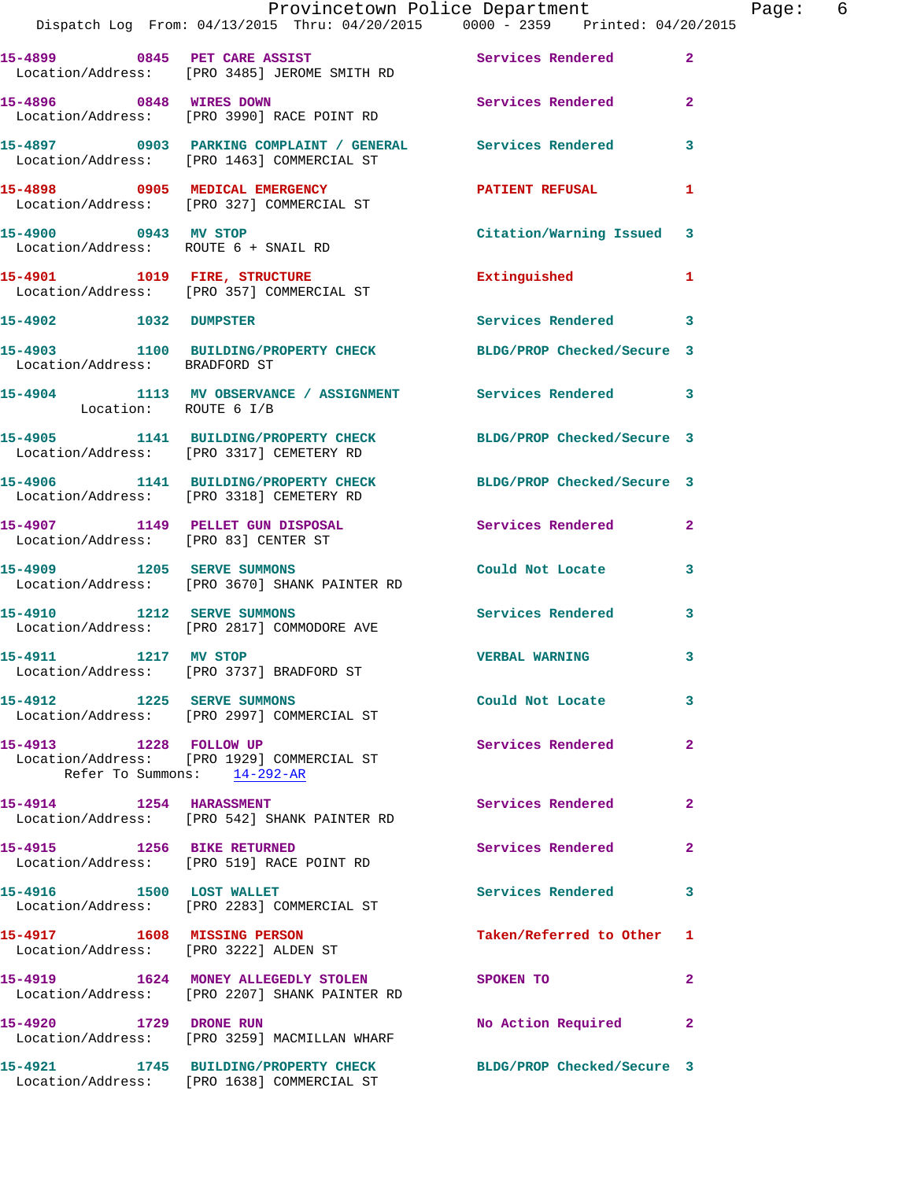|                                                              | Provincetown Police Department<br>Dispatch Log From: 04/13/2015 Thru: 04/20/2015 0000 - 2359 Printed: 04/20/2015 |                            |                | Pe |
|--------------------------------------------------------------|------------------------------------------------------------------------------------------------------------------|----------------------------|----------------|----|
|                                                              | 15-4899 0845 PET CARE ASSIST<br>Location/Address: [PRO 3485] JEROME SMITH RD                                     | Services Rendered          | $\overline{2}$ |    |
| 15-4896 0848 WIRES DOWN                                      | Location/Address: [PRO 3990] RACE POINT RD                                                                       | Services Rendered          | $\mathbf{2}$   |    |
|                                                              | 15-4897 0903 PARKING COMPLAINT / GENERAL Services Rendered<br>Location/Address: [PRO 1463] COMMERCIAL ST         |                            | 3              |    |
|                                                              | 15-4898 0905 MEDICAL EMERGENCY<br>Location/Address: [PRO 327] COMMERCIAL ST                                      | PATIENT REFUSAL            | 1              |    |
| 15-4900 0943 MV STOP<br>Location/Address: ROUTE 6 + SNAIL RD |                                                                                                                  | Citation/Warning Issued 3  |                |    |
|                                                              | 15-4901 1019 FIRE, STRUCTURE<br>Location/Address: [PRO 357] COMMERCIAL ST                                        | Extinguished               | 1              |    |
| 15-4902 1032 DUMPSTER                                        |                                                                                                                  | Services Rendered 3        |                |    |
| Location/Address: BRADFORD ST                                | 15-4903 1100 BUILDING/PROPERTY CHECK BLDG/PROP Checked/Secure 3                                                  |                            |                |    |
|                                                              | 15-4904 1113 MV OBSERVANCE / ASSIGNMENT Services Rendered 3<br>Location: ROUTE 6 I/B                             |                            |                |    |
|                                                              | 15-4905 1141 BUILDING/PROPERTY CHECK BLDG/PROP Checked/Secure 3<br>Location/Address: [PRO 3317] CEMETERY RD      |                            |                |    |
|                                                              | 15-4906 1141 BUILDING/PROPERTY CHECK<br>Location/Address: [PRO 3318] CEMETERY RD                                 | BLDG/PROP Checked/Secure 3 |                |    |
| Location/Address: [PRO 83] CENTER ST                         | 15-4907 1149 PELLET GUN DISPOSAL                                                                                 | Services Rendered          | 2              |    |
|                                                              | 15-4909 1205 SERVE SUMMONS<br>Location/Address: [PRO 3670] SHANK PAINTER RD                                      | Could Not Locate           | 3              |    |
| 15-4910 1212 SERVE SUMMONS                                   | Location/Address: [PRO 2817] COMMODORE AVE                                                                       | <b>Services Rendered</b>   | 3              |    |
| 15-4911 1217 MV STOP                                         | Location/Address: [PRO 3737] BRADFORD ST                                                                         | <b>VERBAL WARNING</b>      | 3              |    |
| 15-4912 1225 SERVE SUMMONS                                   | Location/Address: [PRO 2997] COMMERCIAL ST                                                                       | Could Not Locate           | 3              |    |
| 15-4913 1228 FOLLOW UP                                       | Location/Address: [PRO 1929] COMMERCIAL ST<br>Refer To Summons: 14-292-AR                                        | Services Rendered          | $\mathbf{2}$   |    |
| 15-4914 1254 HARASSMENT                                      | Location/Address: [PRO 542] SHANK PAINTER RD                                                                     | Services Rendered          | 2              |    |
| 15-4915 1256 BIKE RETURNED                                   | Location/Address: [PRO 519] RACE POINT RD                                                                        | Services Rendered          | 2              |    |
| 15-4916 1500 LOST WALLET                                     | Location/Address: [PRO 2283] COMMERCIAL ST                                                                       | <b>Services Rendered</b>   | 3              |    |
| 15-4917 1608 MISSING PERSON                                  | Location/Address: [PRO 3222] ALDEN ST                                                                            | Taken/Referred to Other    | 1              |    |
|                                                              | 15-4919 1624 MONEY ALLEGEDLY STOLEN SPOKEN TO<br>Location/Address: [PRO 2207] SHANK PAINTER RD                   |                            | $\mathbf{2}$   |    |
| 15-4920 1729 DRONE RUN                                       | Location/Address: [PRO 3259] MACMILLAN WHARF                                                                     | No Action Required         | $\mathbf{2}$   |    |
|                                                              | 15-4921 1745 BUILDING/PROPERTY CHECK BLDG/PROP Checked/Secure 3<br>Location/Address: [PRO 1638] COMMERCIAL ST    |                            |                |    |

age: 6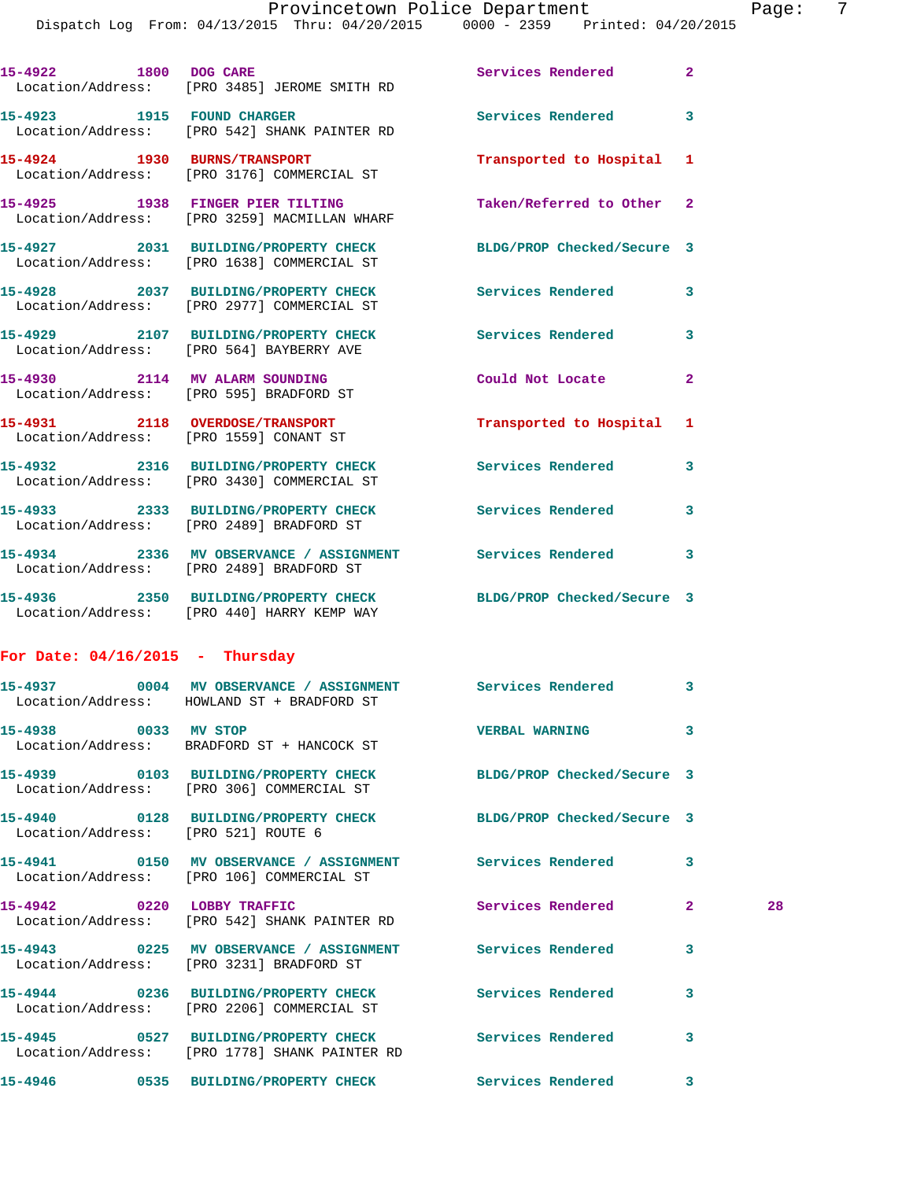Dispatch Log From: 04/13/2015 Thru: 04/20/2015 0000 - 2359 Printed: 04/20/2015

|                                   | 15-4922 1800 DOG CARE<br>Location/Address: [PRO 3485] JEROME SMITH RD                                         | Services Rendered 2       |              |    |
|-----------------------------------|---------------------------------------------------------------------------------------------------------------|---------------------------|--------------|----|
|                                   | 15-4923 1915 FOUND CHARGER<br>Location/Address: [PRO 542] SHANK PAINTER RD                                    | <b>Services Rendered</b>  | 3            |    |
|                                   | 15-4924 1930 BURNS/TRANSPORT<br>Location/Address: [PRO 3176] COMMERCIAL ST                                    | Transported to Hospital 1 |              |    |
|                                   | 15-4925 1938 FINGER PIER TILTING<br>Location/Address: [PRO 3259] MACMILLAN WHARF                              | Taken/Referred to Other 2 |              |    |
|                                   | 15-4927 2031 BUILDING/PROPERTY CHECK BLDG/PROP Checked/Secure 3<br>Location/Address: [PRO 1638] COMMERCIAL ST |                           |              |    |
|                                   | 15-4928 2037 BUILDING/PROPERTY CHECK<br>Location/Address: [PRO 2977] COMMERCIAL ST                            | Services Rendered 3       |              |    |
|                                   | 15-4929 2107 BUILDING/PROPERTY CHECK<br>Location/Address: [PRO 564] BAYBERRY AVE                              | Services Rendered         | 3            |    |
|                                   | 15-4930 2114 MV ALARM SOUNDING<br>Location/Address: [PRO 595] BRADFORD ST                                     | Could Not Locate          | $\mathbf{2}$ |    |
|                                   | 15-4931 2118 OVERDOSE/TRANSPORT<br>Location/Address: [PRO 1559] CONANT ST                                     | Transported to Hospital 1 |              |    |
|                                   | 15-4932 2316 BUILDING/PROPERTY CHECK<br>Location/Address: [PRO 3430] COMMERCIAL ST                            | Services Rendered 3       |              |    |
|                                   | 15-4933 2333 BUILDING/PROPERTY CHECK Services Rendered<br>Location/Address: [PRO 2489] BRADFORD ST            |                           | 3            |    |
|                                   | 15-4934 2336 MV OBSERVANCE / ASSIGNMENT Services Rendered 3<br>Location/Address: [PRO 2489] BRADFORD ST       |                           |              |    |
|                                   | 15-4936 2350 BUILDING/PROPERTY CHECK BLDG/PROP Checked/Secure 3<br>Location/Address: [PRO 440] HARRY KEMP WAY |                           |              |    |
| For Date: $04/16/2015$ - Thursday |                                                                                                               |                           |              |    |
|                                   | 15-4937 0004 MV OBSERVANCE / ASSIGNMENT Services Rendered 3<br>Location/Address: HOWLAND ST + BRADFORD ST     |                           |              |    |
| 15-4938 0033 MV STOP              | Location/Address: BRADFORD ST + HANCOCK ST                                                                    | <b>VERBAL WARNING</b>     | 3            |    |
|                                   | 15-4939 0103 BUILDING/PROPERTY CHECK BLDG/PROP Checked/Secure 3<br>Location/Address: [PRO 306] COMMERCIAL ST  |                           |              |    |
|                                   | 15-4940 0128 BUILDING/PROPERTY CHECK BLDG/PROP Checked/Secure 3<br>Location/Address: [PRO 521] ROUTE 6        |                           |              |    |
|                                   | 15-4941 0150 MV OBSERVANCE / ASSIGNMENT Services Rendered<br>Location/Address: [PRO 106] COMMERCIAL ST        |                           | 3            |    |
| 15-4942 0220 LOBBY TRAFFIC        | Location/Address: [PRO 542] SHANK PAINTER RD                                                                  | Services Rendered         | $\mathbf{2}$ | 28 |
|                                   | 15-4943 0225 MV OBSERVANCE / ASSIGNMENT<br>Location/Address: [PRO 3231] BRADFORD ST                           | <b>Services Rendered</b>  | 3            |    |
|                                   | 15-4944 0236 BUILDING/PROPERTY CHECK Services Rendered<br>Location/Address: [PRO 2206] COMMERCIAL ST          |                           | 3            |    |
|                                   | 15-4945 0527 BUILDING/PROPERTY CHECK Services Rendered<br>Location/Address: [PRO 1778] SHANK PAINTER RD       |                           | 3            |    |
|                                   |                                                                                                               |                           | 3            |    |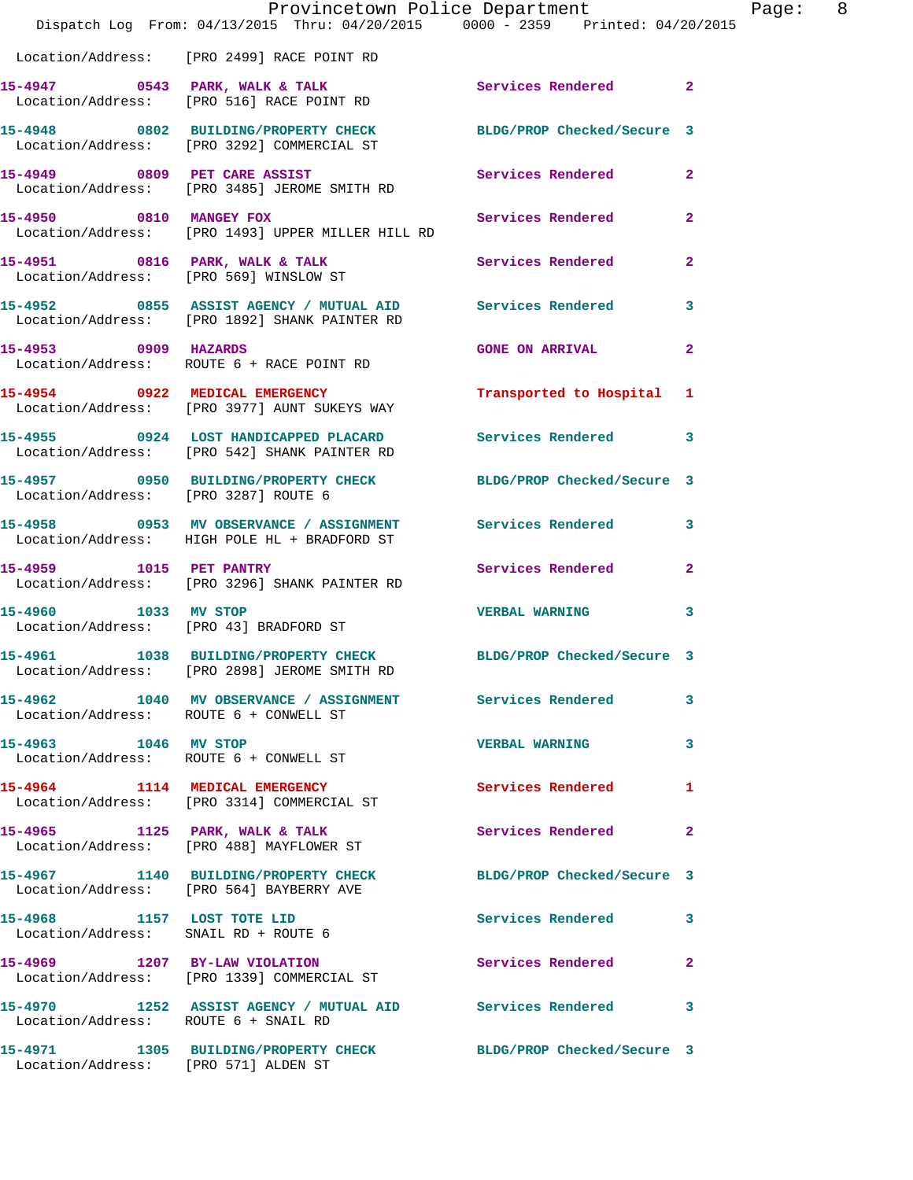|                                      | Provincetown Police Department The Rage: 8<br>Dispatch Log From: 04/13/2015 Thru: 04/20/2015 0000 - 2359 Printed: 04/20/2015 |                            |              |
|--------------------------------------|------------------------------------------------------------------------------------------------------------------------------|----------------------------|--------------|
|                                      | Location/Address: [PRO 2499] RACE POINT RD                                                                                   |                            |              |
|                                      | 15-4947 0543 PARK, WALK & TALK 3 Services Rendered 2<br>Location/Address: [PRO 516] RACE POINT RD                            |                            |              |
|                                      | 15-4948 0802 BUILDING/PROPERTY CHECK BLDG/PROP Checked/Secure 3<br>Location/Address: [PRO 3292] COMMERCIAL ST                |                            |              |
|                                      | 15-4949 0809 PET CARE ASSIST<br>Location/Address: [PRO 3485] JEROME SMITH RD                                                 | Services Rendered 2        |              |
| 15-4950 0810 MANGEY FOX              | Location/Address: [PRO 1493] UPPER MILLER HILL RD                                                                            | Services Rendered 2        |              |
|                                      | 15-4951 0816 PARK, WALK & TALK<br>Location/Address: [PRO 569] WINSLOW ST                                                     |                            |              |
|                                      | 15-4952 0855 ASSIST AGENCY / MUTUAL AID Services Rendered 3<br>Location/Address: [PRO 1892] SHANK PAINTER RD                 |                            |              |
|                                      | 15-4953 0909 HAZARDS<br>Location/Address: ROUTE 6 + RACE POINT RD                                                            | GONE ON ARRIVAL 2          |              |
|                                      | 15-4954 0922 MEDICAL EMERGENCY<br>Location/Address: [PRO 3977] AUNT SUKEYS WAY                                               | Transported to Hospital 1  |              |
|                                      | 15-4955 0924 LOST HANDICAPPED PLACARD Services Rendered 3<br>Location/Address: [PRO 542] SHANK PAINTER RD                    |                            |              |
| Location/Address: [PRO 3287] ROUTE 6 | 15-4957 0950 BUILDING/PROPERTY CHECK BLDG/PROP Checked/Secure 3                                                              |                            |              |
|                                      | 15-4958 0953 MV OBSERVANCE / ASSIGNMENT Services Rendered 3<br>Location/Address: HIGH POLE HL + BRADFORD ST                  |                            |              |
|                                      | 15-4959 1015 PET PANTRY<br>Location/Address: [PRO 3296] SHANK PAINTER RD                                                     | Services Rendered          | $\mathbf{2}$ |
| 15-4960 1033 MV STOP                 | Location/Address: [PRO 43] BRADFORD ST                                                                                       | <b>VERBAL WARNING 3</b>    |              |
| 15-4961                              | 1038 BUILDING/PROPERTY CHECK BLDG/PROP Checked/Secure 3<br>Location/Address: [PRO 2898] JEROME SMITH RD                      |                            |              |
|                                      | 15-4962 1040 MV OBSERVANCE / ASSIGNMENT Services Rendered 3<br>Location/Address: ROUTE 6 + CONWELL ST                        |                            |              |
|                                      | 15-4963 1046 MV STOP<br>Location/Address: ROUTE 6 + CONWELL ST                                                               | VERBAL WARNING 3           |              |
|                                      | 15-4964 1114 MEDICAL EMERGENCY<br>Location/Address: [PRO 3314] COMMERCIAL ST                                                 | <b>Services Rendered</b> 1 |              |
|                                      | 15-4965 1125 PARK, WALK & TALK<br>Location/Address: [PRO 488] MAYFLOWER ST                                                   | Services Rendered          | $\mathbf{2}$ |
|                                      | 15-4967 1140 BUILDING/PROPERTY CHECK<br>Location/Address: [PRO 564] BAYBERRY AVE                                             | BLDG/PROP Checked/Secure 3 |              |
|                                      | 15-4968 1157 LOST TOTE LID<br>Location/Address: SNAIL RD + ROUTE 6                                                           | Services Rendered 3        |              |
|                                      | 15-4969 1207 BY-LAW VIOLATION<br>Location/Address: [PRO 1339] COMMERCIAL ST                                                  | Services Rendered 2        |              |
| Location/Address: ROUTE 6 + SNAIL RD | 15-4970 1252 ASSIST AGENCY / MUTUAL AID Services Rendered 3                                                                  |                            |              |
| Location/Address: [PRO 571] ALDEN ST | 15-4971 1305 BUILDING/PROPERTY CHECK BLDG/PROP Checked/Secure 3                                                              |                            |              |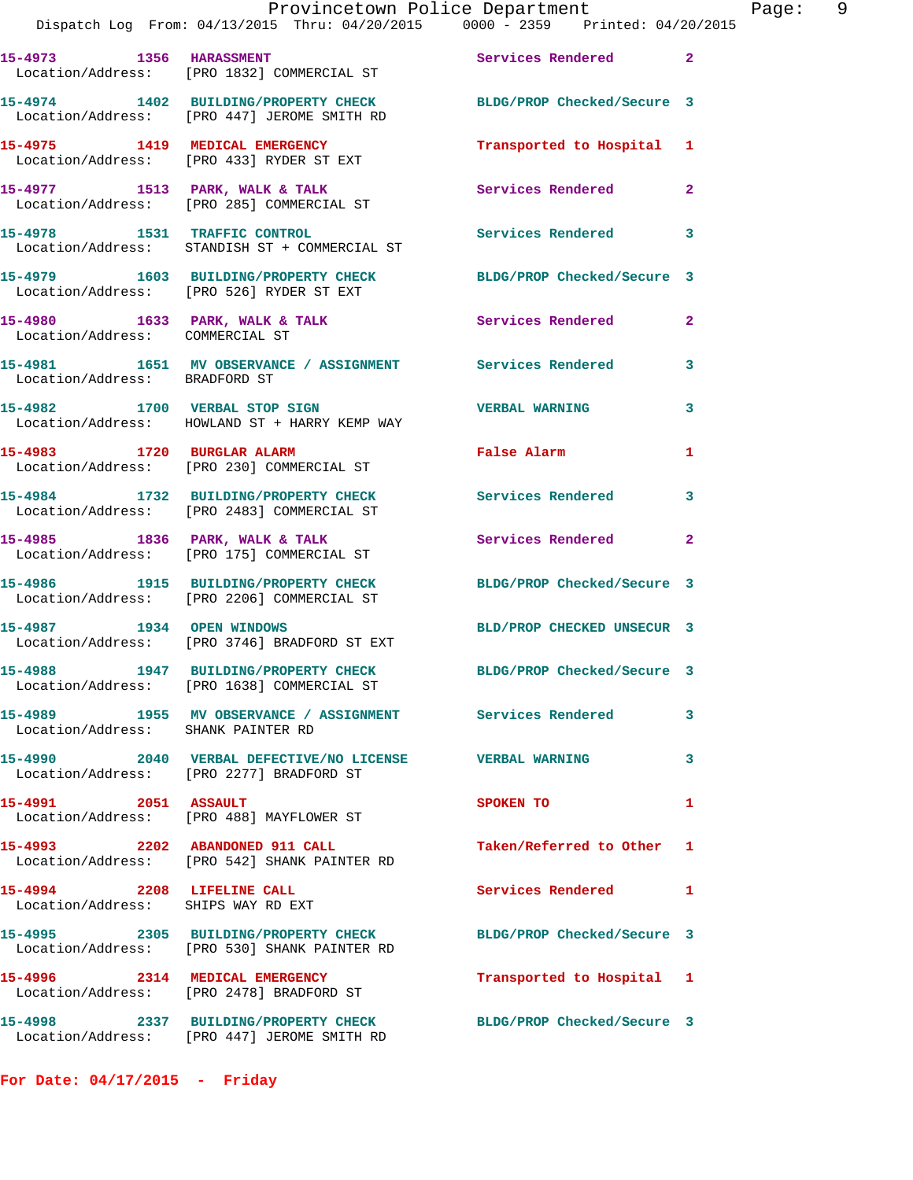|                                                                  | Provincetown Police Department<br>Dispatch Log From: 04/13/2015 Thru: 04/20/2015 0000 - 2359 Printed: 04/20/2015 |                            |                |
|------------------------------------------------------------------|------------------------------------------------------------------------------------------------------------------|----------------------------|----------------|
| 15-4973 1356 HARASSMENT                                          | Location/Address: [PRO 1832] COMMERCIAL ST                                                                       | Services Rendered          | $\mathbf{2}$   |
|                                                                  | 15-4974 1402 BUILDING/PROPERTY CHECK BLDG/PROP Checked/Secure 3<br>Location/Address: [PRO 447] JEROME SMITH RD   |                            |                |
|                                                                  | 15-4975 1419 MEDICAL EMERGENCY<br>Location/Address: [PRO 433] RYDER ST EXT                                       | Transported to Hospital    | 1              |
|                                                                  | 15-4977 1513 PARK, WALK & TALK<br>Location/Address: [PRO 285] COMMERCIAL ST                                      | <b>Services Rendered</b>   | 2              |
|                                                                  | 15-4978 1531 TRAFFIC CONTROL<br>Location/Address: STANDISH ST + COMMERCIAL ST                                    | <b>Services Rendered</b>   | 3              |
|                                                                  | 15-4979 1603 BUILDING/PROPERTY CHECK BLDG/PROP Checked/Secure 3<br>Location/Address: [PRO 526] RYDER ST EXT      |                            |                |
| Location/Address: COMMERCIAL ST                                  | 15-4980 1633 PARK, WALK & TALK Services Rendered                                                                 |                            | $\overline{a}$ |
| Location/Address: BRADFORD ST                                    | 15-4981 1651 MV OBSERVANCE / ASSIGNMENT Services Rendered                                                        |                            | 3              |
|                                                                  | 15-4982 1700 VERBAL STOP SIGN<br>Location/Address: HOWLAND ST + HARRY KEMP WAY                                   | <b>VERBAL WARNING</b>      | 3              |
|                                                                  | 15-4983 1720 BURGLAR ALARM<br>Location/Address: [PRO 230] COMMERCIAL ST                                          | <b>False Alarm</b>         | 1              |
|                                                                  | 15-4984 1732 BUILDING/PROPERTY CHECK<br>Location/Address: [PRO 2483] COMMERCIAL ST                               | <b>Services Rendered</b>   | 3              |
|                                                                  | 15-4985 1836 PARK, WALK & TALK<br>Location/Address: [PRO 175] COMMERCIAL ST                                      | Services Rendered          | $\mathbf{2}$   |
|                                                                  | 15-4986 1915 BUILDING/PROPERTY CHECK<br>Location/Address: [PRO 2206] COMMERCIAL ST                               | BLDG/PROP Checked/Secure 3 |                |
|                                                                  | 15-4987 1934 OPEN WINDOWS<br>Location/Address: [PRO 3746] BRADFORD ST EXT                                        | BLD/PROP CHECKED UNSECUR 3 |                |
|                                                                  | 15-4988 1947 BUILDING/PROPERTY CHECK BLDG/PROP Checked/Secure 3<br>Location/Address: [PRO 1638] COMMERCIAL ST    |                            |                |
| Location/Address: SHANK PAINTER RD                               | 15-4989 1955 MV OBSERVANCE / ASSIGNMENT Services Rendered                                                        |                            | 3              |
|                                                                  | 15-4990 2040 VERBAL DEFECTIVE/NO LICENSE WERBAL WARNING<br>Location/Address: [PRO 2277] BRADFORD ST              |                            | 3              |
| 15-4991 2051 ASSAULT                                             | Location/Address: [PRO 488] MAYFLOWER ST                                                                         | SPOKEN TO                  | 1              |
| 15-4993 2202 ABANDONED 911 CALL                                  | Location/Address: [PRO 542] SHANK PAINTER RD                                                                     | Taken/Referred to Other    | 1              |
| 15-4994 2208 LIFELINE CALL<br>Location/Address: SHIPS WAY RD EXT |                                                                                                                  | Services Rendered          | 1              |
|                                                                  | 15-4995 2305 BUILDING/PROPERTY CHECK BLDG/PROP Checked/Secure 3<br>Location/Address: [PRO 530] SHANK PAINTER RD  |                            |                |
|                                                                  | 15-4996 2314 MEDICAL EMERGENCY<br>Location/Address: [PRO 2478] BRADFORD ST                                       | Transported to Hospital 1  |                |
|                                                                  | 15-4998 2337 BUILDING/PROPERTY CHECK<br>Location/Address: [PRO 447] JEROME SMITH RD                              | BLDG/PROP Checked/Secure 3 |                |

**For Date: 04/17/2015 - Friday**

Page: 9<br>015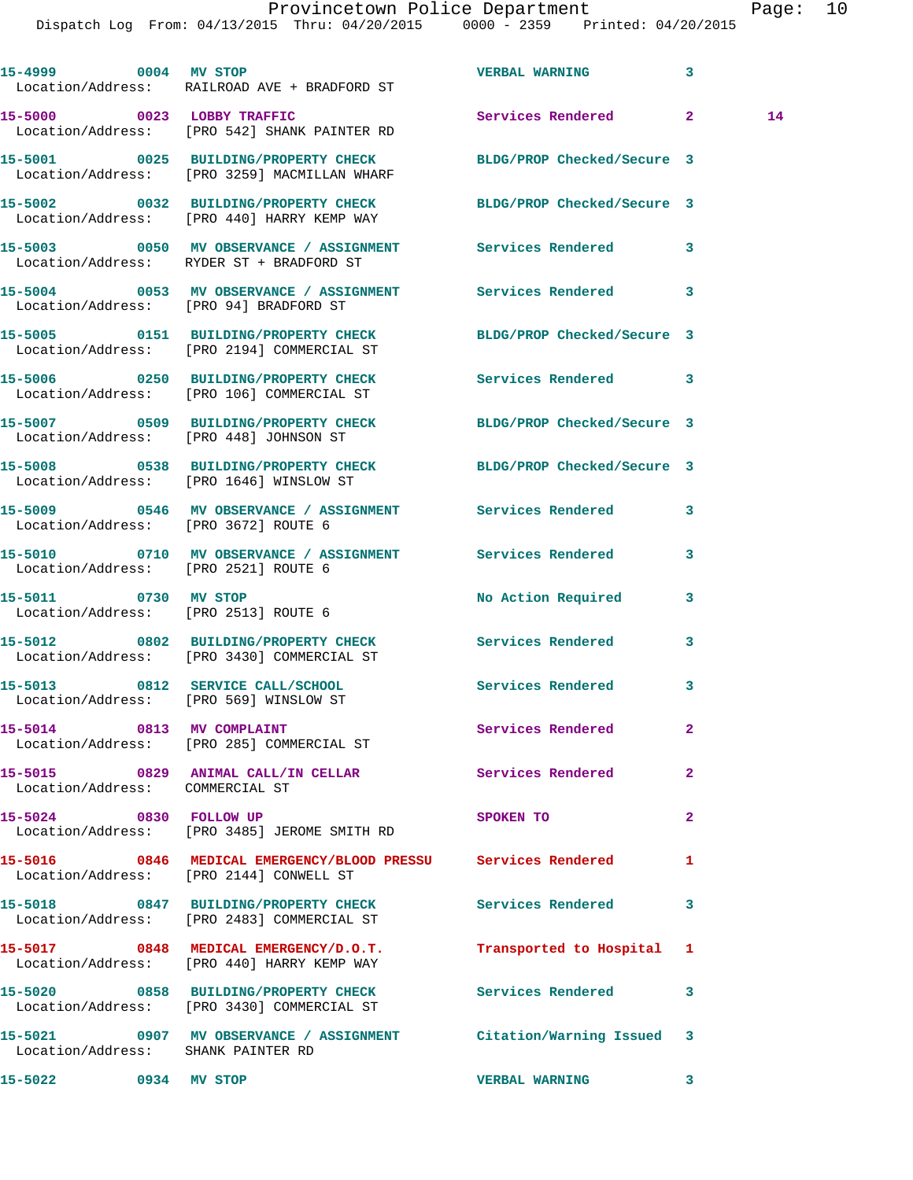Dispatch Log From: 04/13/2015 Thru: 04/20/2015 0000 - 2359 Printed: 04/20/2015

|                                 | 15-4999 0004 MV STOP<br>Location/Address: RAILROAD AVE + BRADFORD ST                                          | <b>VERBAL WARNING</b>      | 3            |    |
|---------------------------------|---------------------------------------------------------------------------------------------------------------|----------------------------|--------------|----|
|                                 | 15-5000 0023 LOBBY TRAFFIC<br>Location/Address: [PRO 542] SHANK PAINTER RD                                    | Services Rendered 2        |              | 14 |
|                                 | 15-5001 0025 BUILDING/PROPERTY CHECK<br>Location/Address: [PRO 3259] MACMILLAN WHARF                          | BLDG/PROP Checked/Secure 3 |              |    |
|                                 | 15-5002 0032 BUILDING/PROPERTY CHECK BLDG/PROP Checked/Secure 3<br>Location/Address: [PRO 440] HARRY KEMP WAY |                            |              |    |
|                                 | 15-5003 0050 MV OBSERVANCE / ASSIGNMENT Services Rendered<br>Location/Address: RYDER ST + BRADFORD ST         |                            | 3            |    |
|                                 | 15-5004 0053 MV OBSERVANCE / ASSIGNMENT Services Rendered 3<br>Location/Address: [PRO 94] BRADFORD ST         |                            |              |    |
|                                 | 15-5005 0151 BUILDING/PROPERTY CHECK BLDG/PROP Checked/Secure 3<br>Location/Address: [PRO 2194] COMMERCIAL ST |                            |              |    |
|                                 | 15-5006 0250 BUILDING/PROPERTY CHECK<br>Location/Address: [PRO 106] COMMERCIAL ST                             | Services Rendered 3        |              |    |
|                                 | 15-5007 0509 BUILDING/PROPERTY CHECK BLDG/PROP Checked/Secure 3<br>Location/Address: [PRO 448] JOHNSON ST     |                            |              |    |
|                                 | 15-5008 0538 BUILDING/PROPERTY CHECK BLDG/PROP Checked/Secure 3<br>Location/Address: [PRO 1646] WINSLOW ST    |                            |              |    |
|                                 | 15-5009 0546 MV OBSERVANCE / ASSIGNMENT Services Rendered<br>Location/Address: [PRO 3672] ROUTE 6             |                            | 3            |    |
|                                 | 15-5010 0710 MV OBSERVANCE / ASSIGNMENT Services Rendered<br>Location/Address: [PRO 2521] ROUTE 6             |                            | 3            |    |
|                                 | 15-5011 0730 MV STOP<br>Location/Address: [PRO 2513] ROUTE 6                                                  | No Action Required         | 3            |    |
|                                 | 15-5012 0802 BUILDING/PROPERTY CHECK<br>Location/Address: [PRO 3430] COMMERCIAL ST                            | Services Rendered          | 3            |    |
|                                 | 15-5013 0812 SERVICE CALL/SCHOOL<br>Location/Address: [PRO 569] WINSLOW ST                                    | Services Rendered          | 3            |    |
| 15-5014 0813 MV COMPLAINT       | Location/Address: [PRO 285] COMMERCIAL ST                                                                     | Services Rendered          | 2            |    |
| Location/Address: COMMERCIAL ST | 15-5015 0829 ANIMAL CALL/IN CELLAR Services Rendered                                                          |                            | $\mathbf{2}$ |    |
| 15-5024 0830 FOLLOW UP          | Location/Address: [PRO 3485] JEROME SMITH RD                                                                  | SPOKEN TO                  | $\mathbf{2}$ |    |
|                                 | 15-5016 0846 MEDICAL EMERGENCY/BLOOD PRESSU Services Rendered<br>Location/Address: [PRO 2144] CONWELL ST      |                            | 1            |    |
|                                 | 15-5018 0847 BUILDING/PROPERTY CHECK Services Rendered<br>Location/Address: [PRO 2483] COMMERCIAL ST          |                            | 3            |    |
|                                 | 15-5017 0848 MEDICAL EMERGENCY/D.O.T. Transported to Hospital 1<br>Location/Address: [PRO 440] HARRY KEMP WAY |                            |              |    |
|                                 | 15-5020 0858 BUILDING/PROPERTY CHECK Services Rendered<br>Location/Address: [PRO 3430] COMMERCIAL ST          |                            | 3            |    |
|                                 | 15-5021 0907 MV OBSERVANCE / ASSIGNMENT Citation/Warning Issued 3<br>Location/Address: SHANK PAINTER RD       |                            |              |    |
| 15-5022 0934 MV STOP            |                                                                                                               | <b>VERBAL WARNING</b>      | 3            |    |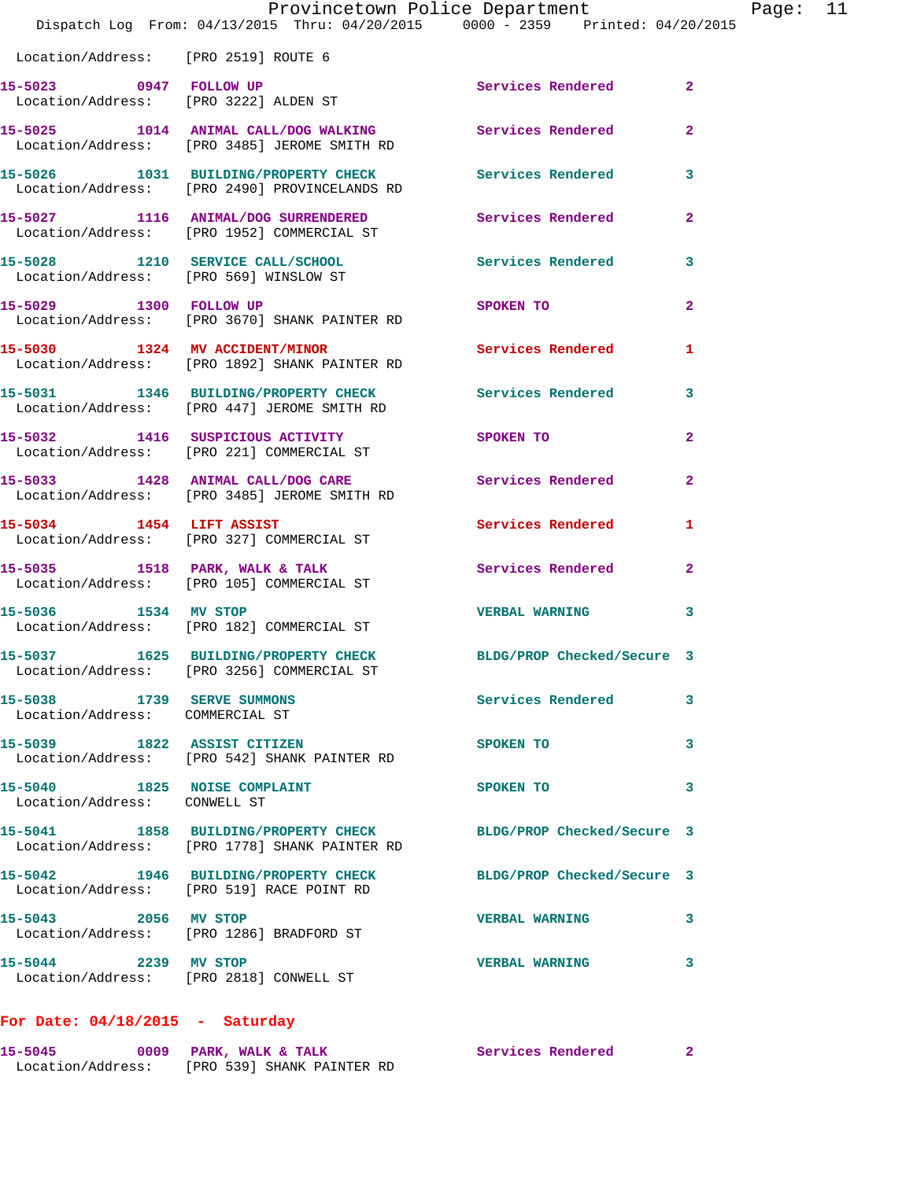|                                                                 | Provincetown Police Department<br>Dispatch Log From: 04/13/2015 Thru: 04/20/2015 0000 - 2359 Printed: 04/20/2015 |                            |                |
|-----------------------------------------------------------------|------------------------------------------------------------------------------------------------------------------|----------------------------|----------------|
| Location/Address: [PRO 2519] ROUTE 6                            |                                                                                                                  |                            |                |
|                                                                 | 15-5023 0947 FOLLOW UP Services Rendered<br>Location/Address: [PRO 3222] ALDEN ST                                |                            | $\overline{a}$ |
|                                                                 | 15-5025 1014 ANIMAL CALL/DOG WALKING Services Rendered<br>Location/Address: [PRO 3485] JEROME SMITH RD           |                            | $\overline{a}$ |
|                                                                 | 15-5026 1031 BUILDING/PROPERTY CHECK Services Rendered<br>Location/Address: [PRO 2490] PROVINCELANDS RD          |                            | 3              |
|                                                                 | 15-5027 1116 ANIMAL/DOG SURRENDERED Services Rendered<br>Location/Address: [PRO 1952] COMMERCIAL ST              |                            | $\overline{a}$ |
| Location/Address: [PRO 569] WINSLOW ST                          | 15-5028 1210 SERVICE CALL/SCHOOL Services Rendered                                                               |                            | 3              |
| 15-5029 1300 FOLLOW UP                                          | Location/Address: [PRO 3670] SHANK PAINTER RD                                                                    | SPOKEN TO                  | $\overline{a}$ |
|                                                                 | 15-5030 1324 MV ACCIDENT/MINOR<br>Location/Address: [PRO 1892] SHANK PAINTER RD                                  | Services Rendered          | 1              |
|                                                                 | 15-5031 1346 BUILDING/PROPERTY CHECK Services Rendered<br>Location/Address: [PRO 447] JEROME SMITH RD            |                            | 3              |
|                                                                 | 15-5032 1416 SUSPICIOUS ACTIVITY<br>Location/Address: [PRO 221] COMMERCIAL ST                                    | SPOKEN TO                  | $\overline{2}$ |
|                                                                 | 15-5033 1428 ANIMAL CALL/DOG CARE<br>Location/Address: [PRO 3485] JEROME SMITH RD                                | Services Rendered          | 2              |
|                                                                 | 15-5034 1454 LIFT ASSIST<br>Location/Address: [PRO 327] COMMERCIAL ST                                            | <b>Services Rendered</b>   | 1              |
|                                                                 | 15-5035 1518 PARK, WALK & TALK<br>Location/Address: [PRO 105] COMMERCIAL ST                                      | Services Rendered          | $\mathbf{2}$   |
| 15-5036 1534 MV STOP                                            | Location/Address: [PRO 182] COMMERCIAL ST                                                                        | <b>VERBAL WARNING</b>      | 3              |
|                                                                 | 15-5037 1625 BUILDING/PROPERTY CHECK<br>Location/Address: [PRO 3256] COMMERCIAL ST                               | BLDG/PROP Checked/Secure 3 |                |
| 15-5038 1739 SERVE SUMMONS<br>Location/Address: COMMERCIAL ST   |                                                                                                                  | Services Rendered          | 3              |
| 15-5039 1822 ASSIST CITIZEN                                     | Location/Address: [PRO 542] SHANK PAINTER RD                                                                     | SPOKEN TO                  | 3              |
| 15-5040 1825 NOISE COMPLAINT<br>Location/Address: CONWELL ST    |                                                                                                                  | SPOKEN TO                  | 3              |
|                                                                 | 15-5041 1858 BUILDING/PROPERTY CHECK BLDG/PROP Checked/Secure 3<br>Location/Address: [PRO 1778] SHANK PAINTER RD |                            |                |
|                                                                 | 15-5042 1946 BUILDING/PROPERTY CHECK<br>Location/Address: [PRO 519] RACE POINT RD                                | BLDG/PROP Checked/Secure 3 |                |
| 15-5043 2056 MV STOP                                            | Location/Address: [PRO 1286] BRADFORD ST                                                                         | <b>VERBAL WARNING</b>      | 3              |
| 15-5044 2239 MV STOP<br>Location/Address: [PRO 2818] CONWELL ST |                                                                                                                  | <b>VERBAL WARNING</b>      | 3              |
| For Date: $04/18/2015$ - Saturday                               |                                                                                                                  |                            |                |

Page: 11

**15-5045 0009 PARK, WALK & TALK Services Rendered 2**  Location/Address: [PRO 539] SHANK PAINTER RD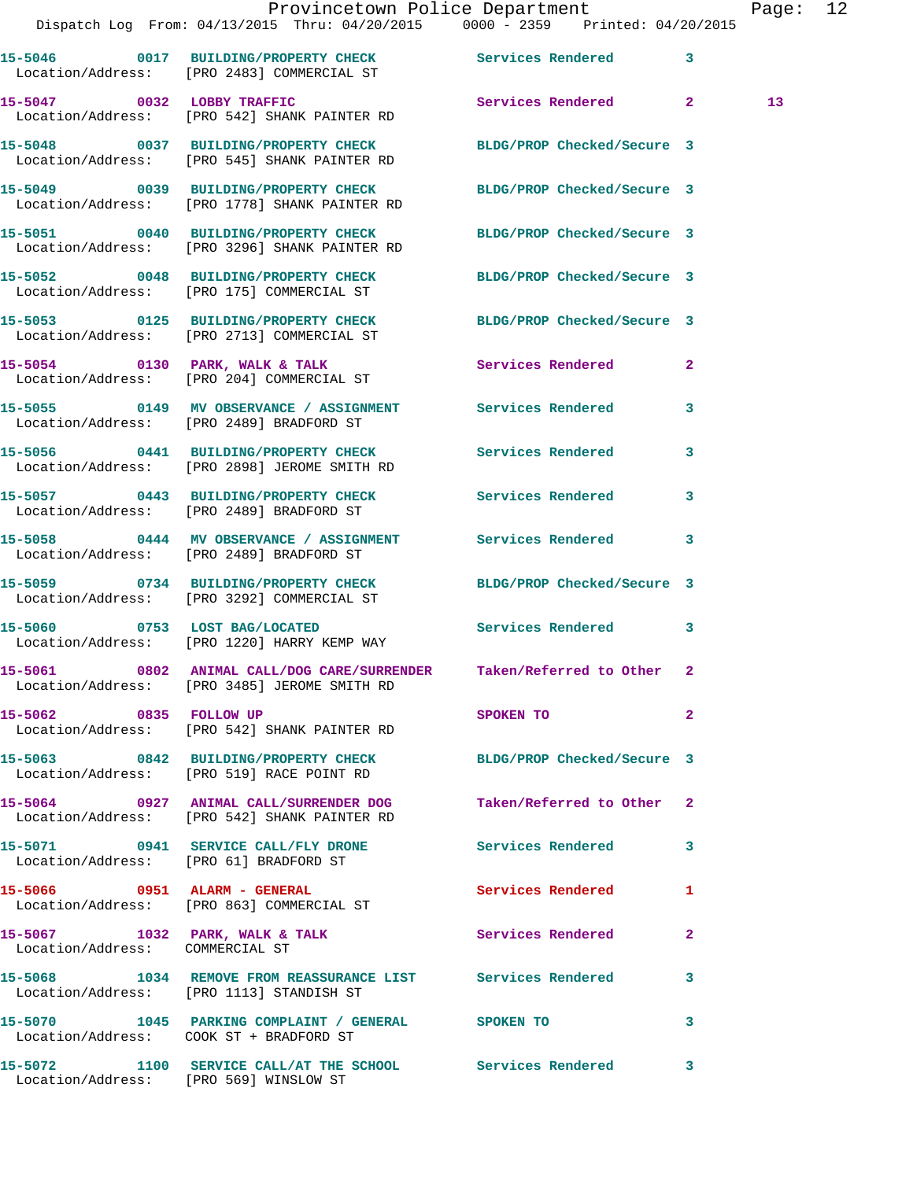|                                 | Dispatch Log From: 04/13/2015 Thru: 04/20/2015 0000 - 2359 Printed: 04/20/2015                                        | Provincetown Police Department | Page: 12       |
|---------------------------------|-----------------------------------------------------------------------------------------------------------------------|--------------------------------|----------------|
|                                 | 15-5046 0017 BUILDING/PROPERTY CHECK Services Rendered<br>Location/Address: [PRO 2483] COMMERCIAL ST                  |                                | $\mathbf{3}$   |
|                                 | 15-5047 0032 LOBBY TRAFFIC<br>Location/Address: [PRO 542] SHANK PAINTER RD                                            | Services Rendered 2            | 13             |
|                                 | 15-5048 0037 BUILDING/PROPERTY CHECK BLDG/PROP Checked/Secure 3<br>Location/Address: [PRO 545] SHANK PAINTER RD       |                                |                |
|                                 | 15-5049 0039 BUILDING/PROPERTY CHECK BLDG/PROP Checked/Secure 3<br>Location/Address: [PRO 1778] SHANK PAINTER RD      |                                |                |
|                                 | 15-5051 0040 BUILDING/PROPERTY CHECK<br>Location/Address: [PRO 3296] SHANK PAINTER RD                                 | BLDG/PROP Checked/Secure 3     |                |
|                                 | 15-5052 0048 BUILDING/PROPERTY CHECK BLDG/PROP Checked/Secure 3<br>Location/Address: [PRO 175] COMMERCIAL ST          |                                |                |
|                                 | 15-5053 0125 BUILDING/PROPERTY CHECK BLDG/PROP Checked/Secure 3<br>Location/Address: [PRO 2713] COMMERCIAL ST         |                                |                |
|                                 | 15-5054 0130 PARK, WALK & TALK<br>Location/Address: [PRO 204] COMMERCIAL ST                                           | Services Rendered              | $\mathbf{2}$   |
|                                 | 15-5055 0149 MV OBSERVANCE / ASSIGNMENT Services Rendered 3<br>Location/Address: [PRO 2489] BRADFORD ST               |                                |                |
|                                 | 15-5056 0441 BUILDING/PROPERTY CHECK Services Rendered<br>Location/Address: [PRO 2898] JEROME SMITH RD                |                                | 3              |
|                                 | 15-5057 0443 BUILDING/PROPERTY CHECK Services Rendered<br>Location/Address: [PRO 2489] BRADFORD ST                    |                                | $\mathbf{3}$   |
|                                 | 15-5058 0444 MV OBSERVANCE / ASSIGNMENT Services Rendered<br>Location/Address: [PRO 2489] BRADFORD ST                 |                                | 3              |
|                                 | 15-5059 0734 BUILDING/PROPERTY CHECK BLDG/PROP Checked/Secure 3<br>Location/Address: [PRO 3292] COMMERCIAL ST         |                                |                |
|                                 | 15-5060 0753 LOST BAG/LOCATED<br>Location/Address: [PRO 1220] HARRY KEMP WAY                                          | Services Rendered 3            |                |
|                                 | 15-5061 0802 ANIMAL CALL/DOG CARE/SURRENDER Taken/Referred to Other 2<br>Location/Address: [PRO 3485] JEROME SMITH RD |                                |                |
| 15-5062 0835 FOLLOW UP          | Location/Address: [PRO 542] SHANK PAINTER RD                                                                          | SPOKEN TO                      | $\overline{a}$ |
|                                 | 15-5063 0842 BUILDING/PROPERTY CHECK<br>Location/Address: [PRO 519] RACE POINT RD                                     | BLDG/PROP Checked/Secure 3     |                |
|                                 | 15-5064 0927 ANIMAL CALL/SURRENDER DOG Taken/Referred to Other 2<br>Location/Address: [PRO 542] SHANK PAINTER RD      |                                |                |
|                                 | 15-5071 0941 SERVICE CALL/FLY DRONE<br>Location/Address: [PRO 61] BRADFORD ST                                         | Services Rendered 3            |                |
|                                 | 15-5066 0951 ALARM - GENERAL<br>Location/Address: [PRO 863] COMMERCIAL ST                                             | Services Rendered              | 1              |
| Location/Address: COMMERCIAL ST | 15-5067 1032 PARK, WALK & TALK 1988 Services Rendered                                                                 |                                | $\mathbf{2}$   |
|                                 | 15-5068 1034 REMOVE FROM REASSURANCE LIST Services Rendered<br>Location/Address: [PRO 1113] STANDISH ST               |                                | 3              |
|                                 | 15-5070 1045 PARKING COMPLAINT / GENERAL SPOKEN TO<br>Location/Address: COOK ST + BRADFORD ST                         |                                | 3              |
|                                 | 15-5072 1100 SERVICE CALL/AT THE SCHOOL Services Rendered 3                                                           |                                |                |

Location/Address: [PRO 569] WINSLOW ST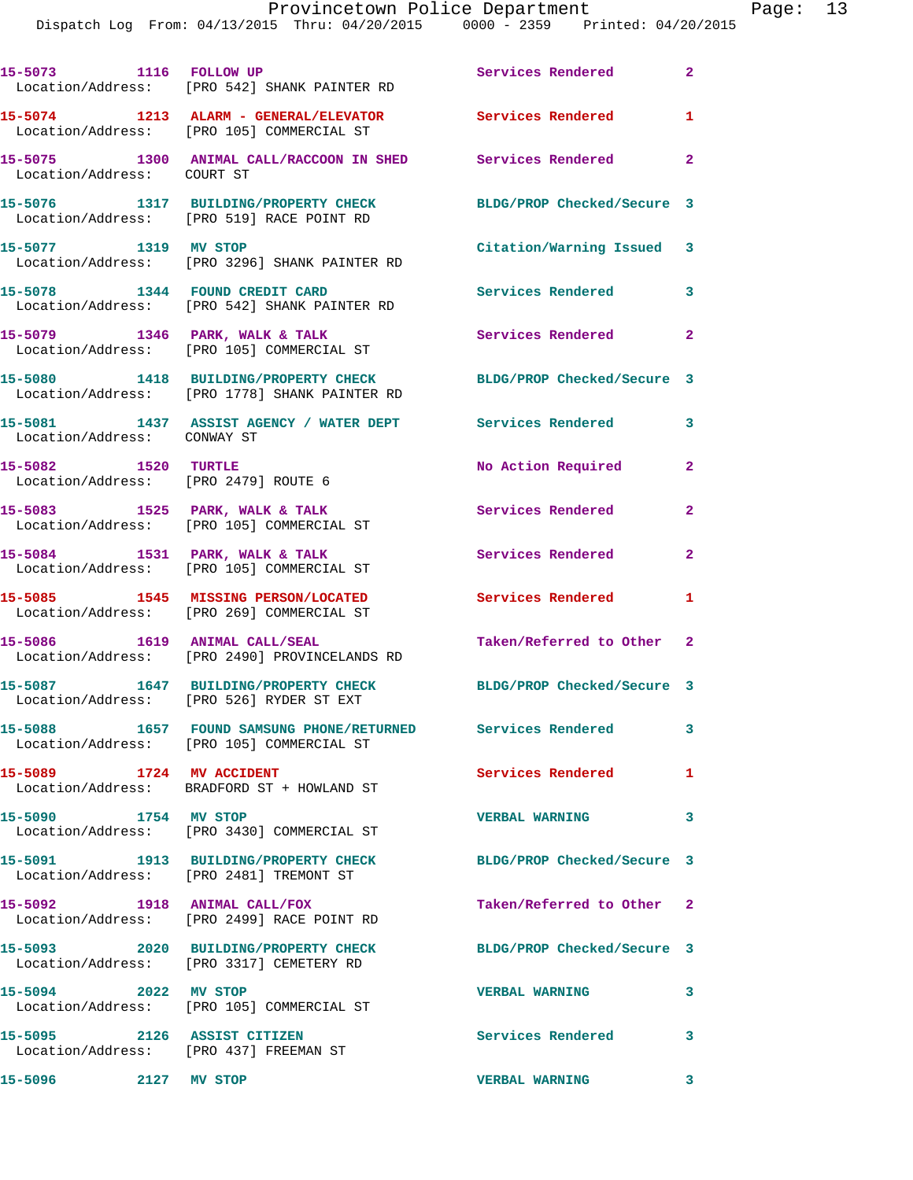| 15-5073 1116 FOLLOW UP                                                | Location/Address: [PRO 542] SHANK PAINTER RD                                                                                                            | Services Rendered          | $\mathbf{2}^-$          |
|-----------------------------------------------------------------------|---------------------------------------------------------------------------------------------------------------------------------------------------------|----------------------------|-------------------------|
|                                                                       | 15-5074 1213 ALARM - GENERAL/ELEVATOR<br>Location/Address: [PRO 105] COMMERCIAL ST                                                                      | Services Rendered          | $\mathbf{1}$            |
| Location/Address: COURT ST                                            | 15-5075 1300 ANIMAL CALL/RACCOON IN SHED Services Rendered                                                                                              |                            | $\overline{2}$          |
|                                                                       | 15-5076 1317 BUILDING/PROPERTY CHECK<br>Location/Address: [PRO 519] RACE POINT RD                                                                       | BLDG/PROP Checked/Secure 3 |                         |
|                                                                       | 15-5077 1319 MV STOP<br>Location/Address: [PRO 3296] SHANK PAINTER RD                                                                                   | Citation/Warning Issued 3  |                         |
|                                                                       | 15-5078 1344 FOUND CREDIT CARD<br>Location/Address: [PRO 542] SHANK PAINTER RD                                                                          | Services Rendered          | 3                       |
|                                                                       | 15-5079 1346 PARK, WALK & TALK<br>Location/Address: [PRO 105] COMMERCIAL ST                                                                             | Services Rendered          | $\mathbf{2}$            |
|                                                                       | 15-5080 1418 BUILDING/PROPERTY CHECK BLDG/PROP Checked/Secure 3<br>Location/Address: [PRO 1778] SHANK PAINTER RD                                        |                            |                         |
| Location/Address: CONWAY ST                                           | 15-5081 1437 ASSIST AGENCY / WATER DEPT                                                                                                                 | Services Rendered          | 3                       |
| 15-5082 1520 TURTLE<br>Location/Address: [PRO 2479] ROUTE 6           |                                                                                                                                                         | No Action Required         | $\mathbf{2}$            |
|                                                                       | 15-5083 1525 PARK, WALK & TALK<br>Location/Address: [PRO 105] COMMERCIAL ST                                                                             | Services Rendered          | $\mathbf{2}$            |
| 15-5084 1531 PARK, WALK & TALK                                        | Location/Address: [PRO 105] COMMERCIAL ST                                                                                                               | Services Rendered          | $\mathbf{2}$            |
|                                                                       | 15-5085 1545 MISSING PERSON/LOCATED<br>Location/Address: [PRO 269] COMMERCIAL ST                                                                        | <b>Services Rendered</b>   | 1                       |
| 15-5086 1619 ANIMAL CALL/SEAL                                         | Location/Address: [PRO 2490] PROVINCELANDS RD                                                                                                           | Taken/Referred to Other 2  |                         |
|                                                                       | 15-5087 1647 BUILDING/PROPERTY CHECK<br>Location/Address: [PRO 526] RYDER ST EXT                                                                        | BLDG/PROP Checked/Secure 3 |                         |
|                                                                       | 15-5088                1657    FOUND SAMSUNG  PHONE/RETURNED           Services  Rendered                3<br>Location/Address: [PRO 105] COMMERCIAL ST |                            |                         |
|                                                                       | 15-5089 1724 MV ACCIDENT<br>Location/Address: BRADFORD ST + HOWLAND ST                                                                                  | Services Rendered 1        |                         |
| 15-5090 1754 MV STOP                                                  | Location/Address: [PRO 3430] COMMERCIAL ST                                                                                                              | <b>VERBAL WARNING</b>      | $\overline{\mathbf{3}}$ |
|                                                                       | 15-5091 1913 BUILDING/PROPERTY CHECK<br>Location/Address: [PRO 2481] TREMONT ST                                                                         | BLDG/PROP Checked/Secure 3 |                         |
| 15-5092 1918 ANIMAL CALL/FOX                                          | Location/Address: [PRO 2499] RACE POINT RD                                                                                                              | Taken/Referred to Other 2  |                         |
|                                                                       | 15-5093 2020 BUILDING/PROPERTY CHECK<br>Location/Address: [PRO 3317] CEMETERY RD                                                                        | BLDG/PROP Checked/Secure 3 |                         |
| 15-5094 2022 MV STOP                                                  | Location/Address: [PRO 105] COMMERCIAL ST                                                                                                               | <b>VERBAL WARNING</b>      | 3                       |
| 15-5095 2126 ASSIST CITIZEN<br>Location/Address: [PRO 437] FREEMAN ST |                                                                                                                                                         | <b>Services Rendered</b>   | 3                       |
| 15-5096 2127 MV STOP                                                  |                                                                                                                                                         | <b>VERBAL WARNING</b>      | $\overline{\mathbf{3}}$ |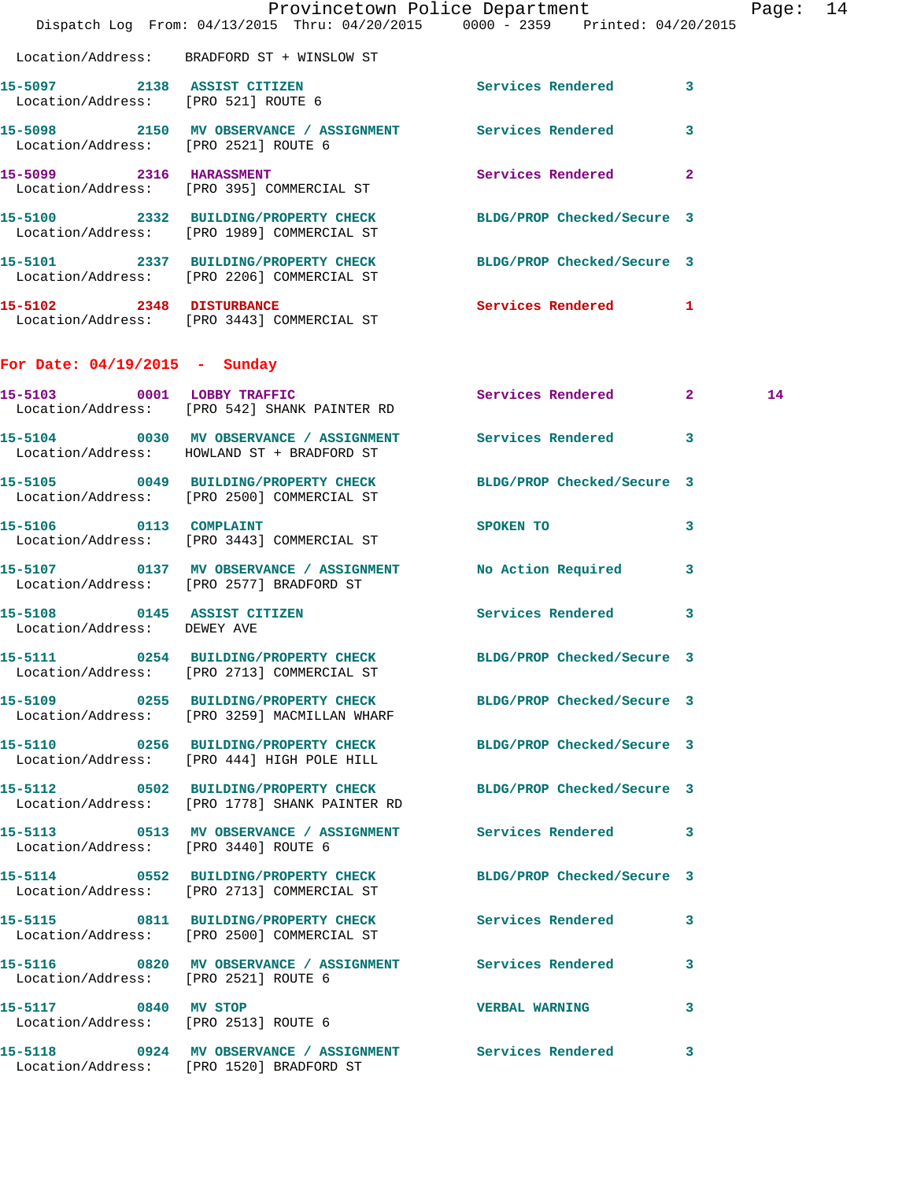|                                      | Dispatch Log From: 04/13/2015 Thru: 04/20/2015 0000 - 2359 Printed: 04/20/2015                                   | Provincetown Police Department |   | Page: 14 |  |
|--------------------------------------|------------------------------------------------------------------------------------------------------------------|--------------------------------|---|----------|--|
|                                      | Location/Address: BRADFORD ST + WINSLOW ST                                                                       |                                |   |          |  |
|                                      | 15-5097 2138 ASSIST CITIZEN<br>Location/Address: [PRO 521] ROUTE 6                                               | Services Rendered 3            |   |          |  |
| Location/Address: [PRO 2521] ROUTE 6 | 15-5098 2150 MV OBSERVANCE / ASSIGNMENT Services Rendered 3                                                      |                                |   |          |  |
| 15-5099 2316 HARASSMENT              | Location/Address: [PRO 395] COMMERCIAL ST                                                                        | Services Rendered 2            |   |          |  |
|                                      | 15-5100 2332 BUILDING/PROPERTY CHECK BLDG/PROP Checked/Secure 3<br>Location/Address: [PRO 1989] COMMERCIAL ST    |                                |   |          |  |
|                                      | 15-5101 2337 BUILDING/PROPERTY CHECK BLDG/PROP Checked/Secure 3<br>Location/Address: [PRO 2206] COMMERCIAL ST    |                                |   |          |  |
|                                      | 15-5102 2348 DISTURBANCE<br>Location/Address: [PRO 3443] COMMERCIAL ST                                           | Services Rendered 1            |   |          |  |
| For Date: $04/19/2015$ - Sunday      |                                                                                                                  |                                |   |          |  |
|                                      | 15-5103 0001 LOBBY TRAFFIC<br>Location/Address: [PRO 542] SHANK PAINTER RD                                       | Services Rendered 2            |   | 14       |  |
|                                      | 15-5104 0030 MV OBSERVANCE / ASSIGNMENT Services Rendered 3<br>Location/Address: HOWLAND ST + BRADFORD ST        |                                |   |          |  |
|                                      | 15-5105 0049 BUILDING/PROPERTY CHECK BLDG/PROP Checked/Secure 3<br>Location/Address: [PRO 2500] COMMERCIAL ST    |                                |   |          |  |
|                                      | 15-5106 0113 COMPLAINT<br>Location/Address: [PRO 3443] COMMERCIAL ST                                             | SPOKEN TO                      | 3 |          |  |
|                                      | 15-5107 0137 MV OBSERVANCE / ASSIGNMENT No Action Required 3<br>Location/Address: [PRO 2577] BRADFORD ST         |                                |   |          |  |
| Location/Address: DEWEY AVE          | 15-5108 			 0145 ASSIST CITIZEN 			 Services Rendered 		 3                                                       |                                |   |          |  |
|                                      | 15-5111 0254 BUILDING/PROPERTY CHECK BLDG/PROP Checked/Secure 3<br>Location/Address: [PRO 2713] COMMERCIAL ST    |                                |   |          |  |
|                                      | 15-5109 0255 BUILDING/PROPERTY CHECK BLDG/PROP Checked/Secure 3<br>Location/Address: [PRO 3259] MACMILLAN WHARF  |                                |   |          |  |
|                                      | 15-5110 0256 BUILDING/PROPERTY CHECK BLDG/PROP Checked/Secure 3<br>Location/Address: [PRO 444] HIGH POLE HILL    |                                |   |          |  |
|                                      | 15-5112 0502 BUILDING/PROPERTY CHECK BLDG/PROP Checked/Secure 3<br>Location/Address: [PRO 1778] SHANK PAINTER RD |                                |   |          |  |
| Location/Address: [PRO 3440] ROUTE 6 | 15-5113 0513 MV OBSERVANCE / ASSIGNMENT Services Rendered 3                                                      |                                |   |          |  |
|                                      | 15-5114 0552 BUILDING/PROPERTY CHECK BLDG/PROP Checked/Secure 3<br>Location/Address: [PRO 2713] COMMERCIAL ST    |                                |   |          |  |
|                                      | 15-5115 0811 BUILDING/PROPERTY CHECK Services Rendered 3<br>Location/Address: [PRO 2500] COMMERCIAL ST           |                                |   |          |  |
| Location/Address: [PRO 2521] ROUTE 6 | 15-5116 0820 MV OBSERVANCE / ASSIGNMENT Services Rendered 3                                                      |                                |   |          |  |
| 15-5117 0840 MV STOP                 | Location/Address: [PRO 2513] ROUTE 6                                                                             | <b>VERBAL WARNING 3</b>        |   |          |  |
|                                      | 15-5118 0924 MV OBSERVANCE / ASSIGNMENT Services Rendered 3<br>Location/Address: [PRO 1520] BRADFORD ST          |                                |   |          |  |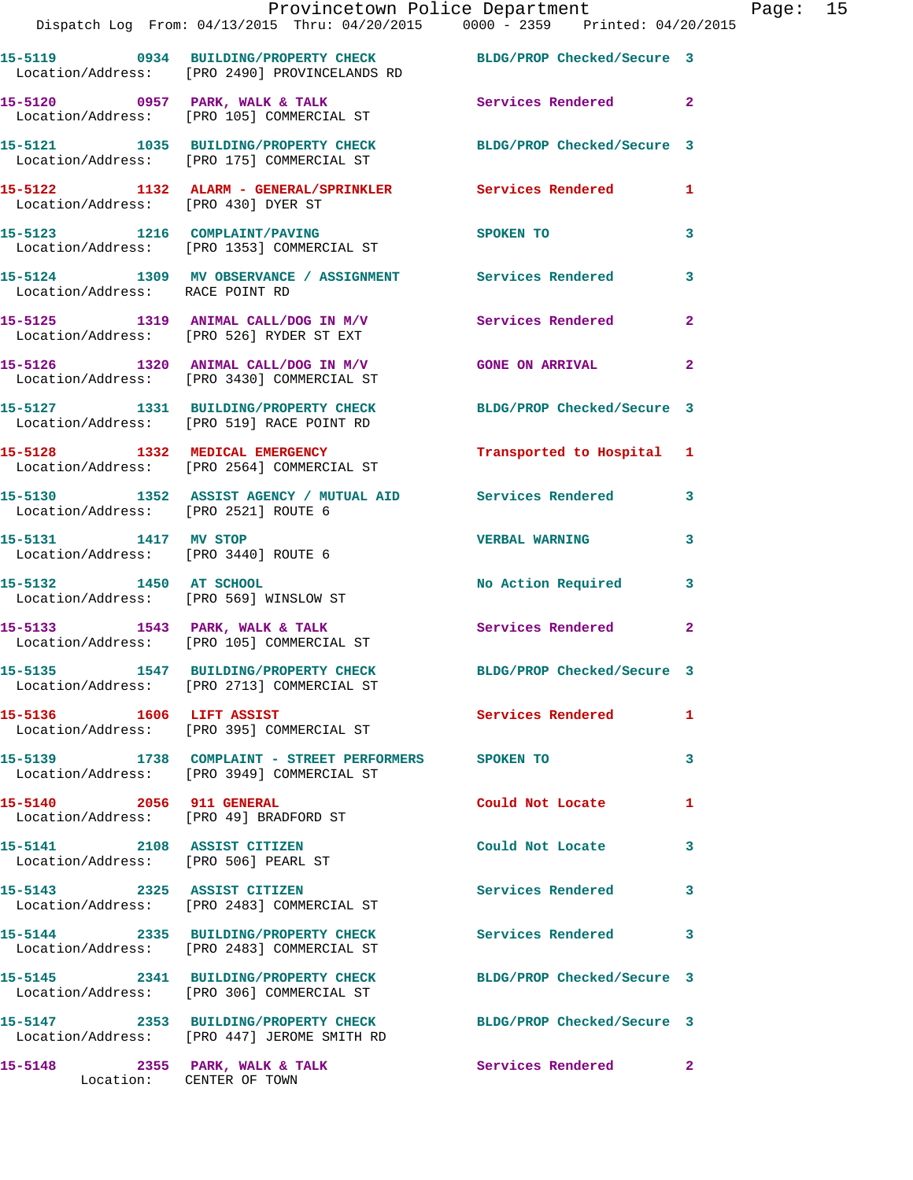|                                                              | Provincetown Police Department<br>Dispatch Log From: 04/13/2015 Thru: 04/20/2015 0000 - 2359 Printed: 04/20/2015 |                            |                |
|--------------------------------------------------------------|------------------------------------------------------------------------------------------------------------------|----------------------------|----------------|
|                                                              |                                                                                                                  |                            |                |
|                                                              | 15-5119 0934 BUILDING/PROPERTY CHECK BLDG/PROP Checked/Secure 3<br>Location/Address: [PRO 2490] PROVINCELANDS RD |                            |                |
|                                                              | 15-5120 0957 PARK, WALK & TALK 30 Services Rendered<br>Location/Address: [PRO 105] COMMERCIAL ST                 |                            | $\overline{2}$ |
|                                                              | 15-5121 1035 BUILDING/PROPERTY CHECK BLDG/PROP Checked/Secure 3<br>Location/Address: [PRO 175] COMMERCIAL ST     |                            |                |
| Location/Address: [PRO 430] DYER ST                          | 15-5122 1132 ALARM - GENERAL/SPRINKLER Services Rendered                                                         |                            | 1              |
|                                                              | 15-5123 1216 COMPLAINT/PAVING<br>Location/Address: [PRO 1353] COMMERCIAL ST                                      | SPOKEN TO                  | 3              |
| Location/Address: RACE POINT RD                              | 15-5124 1309 MV OBSERVANCE / ASSIGNMENT Services Rendered                                                        |                            | 3              |
|                                                              | 15-5125 1319 ANIMAL CALL/DOG IN M/V<br>Location/Address: [PRO 526] RYDER ST EXT                                  | Services Rendered          | $\overline{a}$ |
|                                                              | 15-5126 1320 ANIMAL CALL/DOG IN M/V GONE ON ARRIVAL<br>Location/Address: [PRO 3430] COMMERCIAL ST                |                            | $\mathbf{2}$   |
|                                                              | 15-5127 1331 BUILDING/PROPERTY CHECK<br>Location/Address: [PRO 519] RACE POINT RD                                | BLDG/PROP Checked/Secure 3 |                |
|                                                              | 15-5128 1332 MEDICAL EMERGENCY<br>Location/Address: [PRO 2564] COMMERCIAL ST                                     | Transported to Hospital 1  |                |
| Location/Address: [PRO 2521] ROUTE 6                         | 15-5130 1352 ASSIST AGENCY / MUTUAL AID Services Rendered                                                        |                            | 3              |
| 15-5131 1417 MV STOP<br>Location/Address: [PRO 3440] ROUTE 6 |                                                                                                                  | <b>VERBAL WARNING</b>      | 3              |
| 15-5132 1450 AT SCHOOL                                       | Location/Address: [PRO 569] WINSLOW ST                                                                           | <b>No Action Required</b>  | 3              |
|                                                              |                                                                                                                  | <b>Services Rendered</b>   | $\mathbf{2}$   |
|                                                              | 15-5135 1547 BUILDING/PROPERTY CHECK<br>Location/Address: [PRO 2713] COMMERCIAL ST                               | BLDG/PROP Checked/Secure 3 |                |
|                                                              | Location/Address: [PRO 395] COMMERCIAL ST                                                                        | Services Rendered          | 1              |
|                                                              | 15-5139    1738    COMPLAINT - STREET PERFORMERS    SPOKEN TO<br>Location/Address: [PRO 3949] COMMERCIAL ST      |                            | 3              |
| 15-5140 2056 911 GENERAL                                     | Location/Address: [PRO 49] BRADFORD ST                                                                           | Could Not Locate           | 1              |
| 15-5141 2108 ASSIST CITIZEN                                  | Location/Address: [PRO 506] PEARL ST                                                                             | Could Not Locate           | 3              |
|                                                              | 15-5143 2325 ASSIST CITIZEN<br>Location/Address: [PRO 2483] COMMERCIAL ST                                        | <b>Services Rendered</b>   | 3              |
|                                                              | 15-5144 2335 BUILDING/PROPERTY CHECK Services Rendered<br>Location/Address: [PRO 2483] COMMERCIAL ST             |                            | 3              |
|                                                              | 15-5145 2341 BUILDING/PROPERTY CHECK<br>Location/Address: [PRO 306] COMMERCIAL ST                                | BLDG/PROP Checked/Secure 3 |                |
|                                                              | 15-5147 2353 BUILDING/PROPERTY CHECK BLDG/PROP Checked/Secure 3<br>Location/Address: [PRO 447] JEROME SMITH RD   |                            |                |
|                                                              | 15-5148 2355 PARK, WALK & TALK                                                                                   | Services Rendered          | $\mathbf{2}^-$ |

Location: CENTER OF TOWN

Page: 15